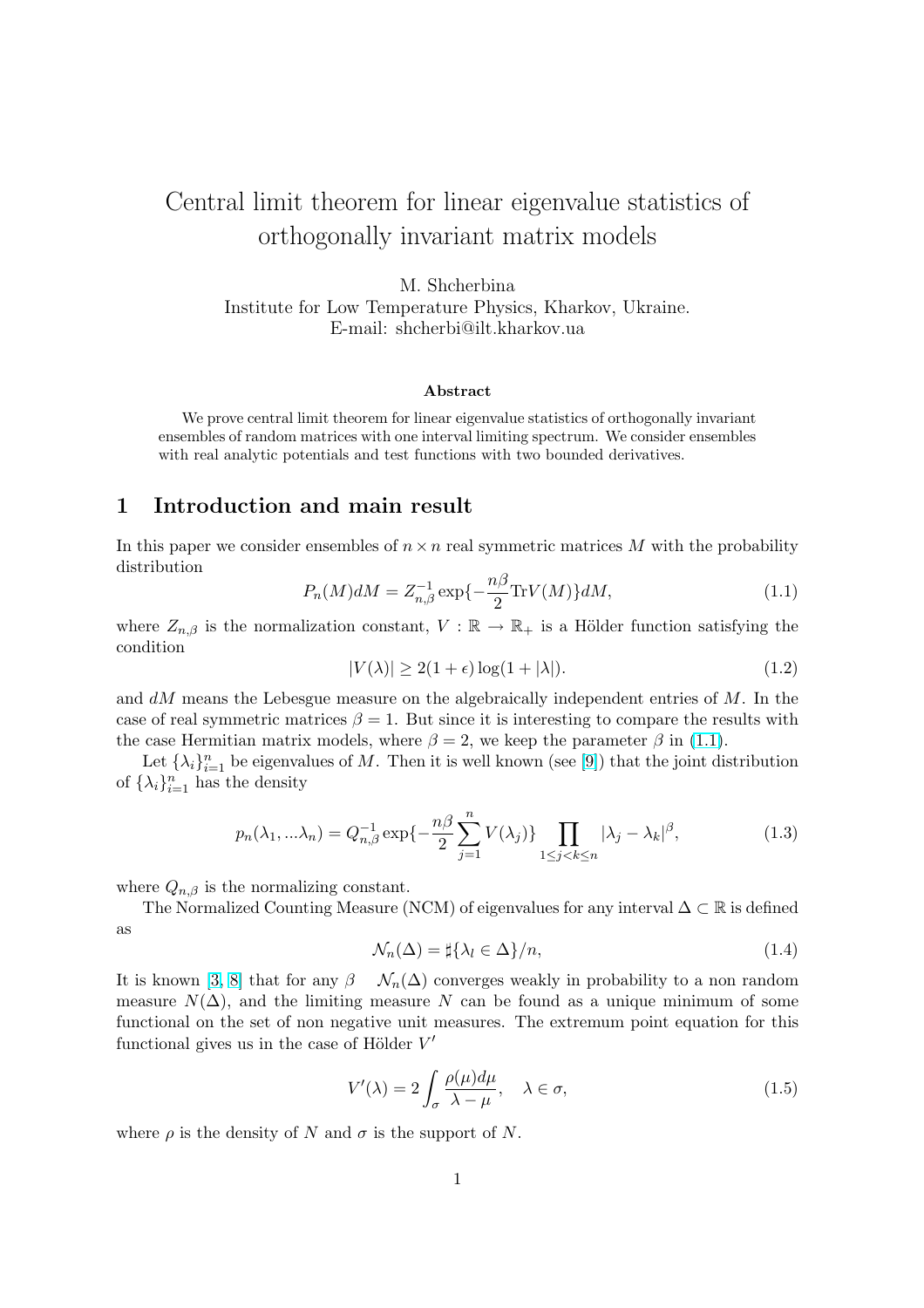# <span id="page-0-0"></span>Central limit theorem for linear eigenvalue statistics of orthogonally invariant matrix models

M. Shcherbina Institute for Low Temperature Physics, Kharkov, Ukraine. E-mail: shcherbi@ilt.kharkov.ua

#### Abstract

We prove central limit theorem for linear eigenvalue statistics of orthogonally invariant ensembles of random matrices with one interval limiting spectrum. We consider ensembles with real analytic potentials and test functions with two bounded derivatives.

## 1 Introduction and main result

In this paper we consider ensembles of  $n \times n$  real symmetric matrices M with the probability distribution

$$
P_n(M)dM = Z_{n,\beta}^{-1} \exp\{-\frac{n\beta}{2}\text{Tr}V(M)\}dM,
$$
\n(1.1)

where  $Z_{n,\beta}$  is the normalization constant,  $V : \mathbb{R} \to \mathbb{R}_+$  is a Hölder function satisfying the condition

$$
|V(\lambda)| \ge 2(1+\epsilon)\log(1+|\lambda|). \tag{1.2}
$$

and dM means the Lebesgue measure on the algebraically independent entries of M. In the case of real symmetric matrices  $\beta = 1$ . But since it is interesting to compare the results with the case Hermitian matrix models, where  $\beta = 2$ , we keep the parameter  $\beta$  in (1.1).

Let  $\{\lambda_i\}_{i=1}^n$  be eigenvalues of M. Then it is well known (see [9]) that the joint distribution of  $\{\lambda_i\}_{i=1}^n$  has the density

$$
p_n(\lambda_1, \ldots, \lambda_n) = Q_{n,\beta}^{-1} \exp\left\{-\frac{n\beta}{2} \sum_{j=1}^n V(\lambda_j)\right\} \prod_{1 \le j < k \le n} |\lambda_j - \lambda_k|^\beta,\tag{1.3}
$$

where  $Q_{n,\beta}$  is the normalizing constant.

The Normalized Counting Measure (NCM) of eigenvalues for any interval  $\Delta \subset \mathbb{R}$  is defined as

$$
\mathcal{N}_n(\Delta) = \sharp \{ \lambda_l \in \Delta \} / n,\tag{1.4}
$$

It is known [3, 8] that for any  $\beta$   $\mathcal{N}_n(\Delta)$  converges weakly in probability to a non random measure  $N(\Delta)$ , and the limiting measure N can be found as a unique minimum of some functional on the set of non negative unit measures. The extremum point equation for this functional gi[ves u](#page-18-0)s in the case of Hölder  $V'$ 

$$
V'(\lambda) = 2 \int_{\sigma} \frac{\rho(\mu) d\mu}{\lambda - \mu}, \quad \lambda \in \sigma,
$$
\n(1.5)

where  $\rho$  is the density of N and  $\sigma$  is the support of N.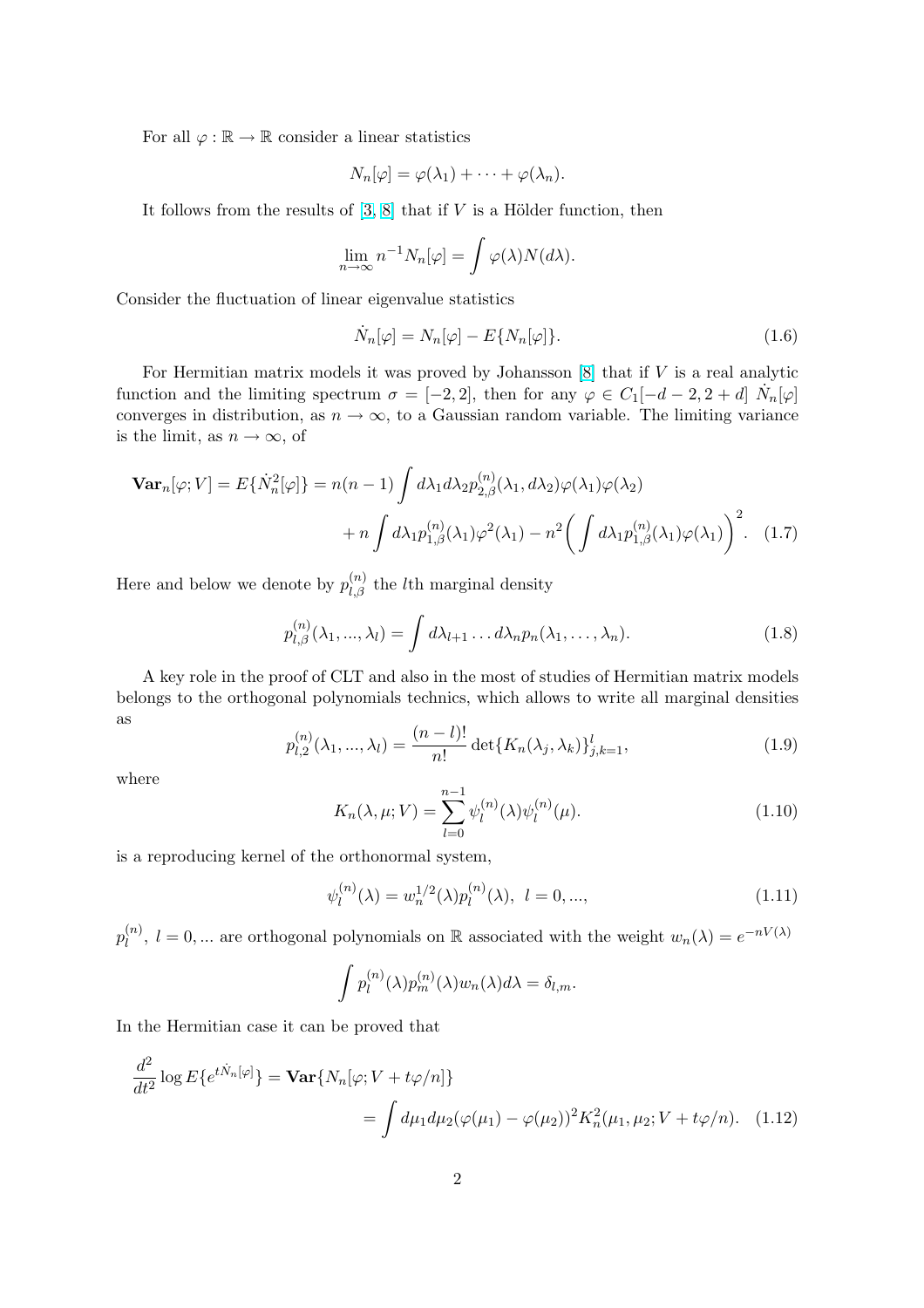<span id="page-1-0"></span>For all  $\varphi : \mathbb{R} \to \mathbb{R}$  consider a linear statistics

$$
N_n[\varphi] = \varphi(\lambda_1) + \cdots + \varphi(\lambda_n).
$$

It follows from the results of  $[3, 8]$  that if V is a Hölder function, then

$$
\lim_{n \to \infty} n^{-1} N_n[\varphi] = \int \varphi(\lambda) N(d\lambda).
$$

Consider the fluctuation of linea[r e](#page-18-0)i[ge](#page-18-0)nvalue statistics

$$
\dot{N}_n[\varphi] = N_n[\varphi] - E\{N_n[\varphi]\}.
$$
\n(1.6)

For Hermitian matrix models it was proved by Johansson  $[8]$  that if V is a real analytic function and the limiting spectrum  $\sigma = [-2, 2]$ , then for any  $\varphi \in C_1[-d-2, 2+d]$   $\dot{N}_n[\varphi]$ converges in distribution, as  $n \to \infty$ , to a Gaussian random variable. The limiting variance is the limit, as  $n \to \infty$ , of

$$
\mathbf{Var}_{n}[\varphi; V] = E\{\dot{N}_{n}^{2}[\varphi]\} = n(n-1) \int d\lambda_{1} d\lambda_{2} p_{2,\beta}^{(n)}(\lambda_{1}, d\lambda_{2}) \varphi(\lambda_{1}) \varphi(\lambda_{2}) + n \int d\lambda_{1} p_{1,\beta}^{(n)}(\lambda_{1}) \varphi^{2}(\lambda_{1}) - n^{2} \left( \int d\lambda_{1} p_{1,\beta}^{(n)}(\lambda_{1}) \varphi(\lambda_{1}) \right)^{2}.
$$
 (1.7)

Here and below we denote by  $p_{l,\beta}^{(n)}$  the *l*<sup>th</sup> marginal density

$$
p_{l,\beta}^{(n)}(\lambda_1,...,\lambda_l) = \int d\lambda_{l+1} \dots d\lambda_n p_n(\lambda_1,...,\lambda_n).
$$
 (1.8)

A key role in the proof of CLT and also in the most of studies of Hermitian matrix models belongs to the orthogonal polynomials technics, which allows to write all marginal densities as

$$
p_{l,2}^{(n)}(\lambda_1, ..., \lambda_l) = \frac{(n-l)!}{n!} \det\{K_n(\lambda_j, \lambda_k)\}_{j,k=1}^l,
$$
\n(1.9)

where

$$
K_n(\lambda, \mu; V) = \sum_{l=0}^{n-1} \psi_l^{(n)}(\lambda) \psi_l^{(n)}(\mu).
$$
 (1.10)

is a reproducing kernel of the orthonormal system,

$$
\psi_l^{(n)}(\lambda) = w_n^{1/2}(\lambda) p_l^{(n)}(\lambda), \ l = 0, ..., \tag{1.11}
$$

 $p_l^{(n)}$  $l_1^{(n)}$ ,  $l = 0,...$  are orthogonal polynomials on R associated with the weight  $w_n(\lambda) = e^{-nV(\lambda)}$ 

$$
\int p_l^{(n)}(\lambda)p_m^{(n)}(\lambda)w_n(\lambda)d\lambda = \delta_{l,m}.
$$

In the Hermitian case it can be proved that

$$
\frac{d^2}{dt^2} \log E\{e^{t\dot{N}_n[\varphi]}\} = \text{Var}\{N_n[\varphi; V + t\varphi/n]\}
$$

$$
= \int d\mu_1 d\mu_2 (\varphi(\mu_1) - \varphi(\mu_2))^2 K_n^2(\mu_1, \mu_2; V + t\varphi/n). \quad (1.12)
$$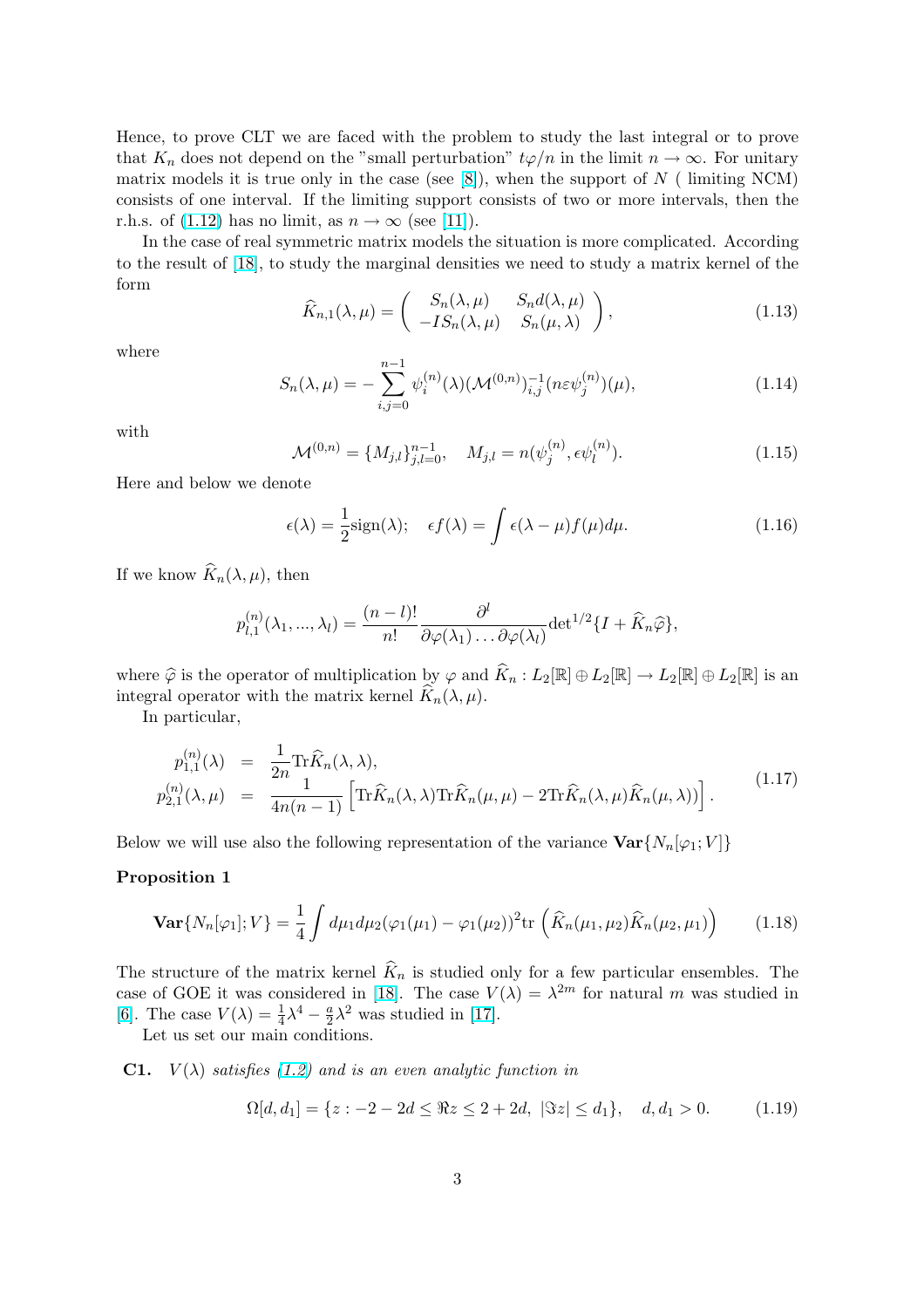<span id="page-2-0"></span>Hence, to prove CLT we are faced with the problem to study the last integral or to prove that  $K_n$  does not depend on the "small perturbation"  $t\varphi/n$  in the limit  $n \to \infty$ . For unitary matrix models it is true only in the case (see  $[8]$ ), when the support of N ( limiting NCM) consists of one interval. If the limiting support consists of two or more intervals, then the r.h.s. of (1.12) has no limit, as  $n \to \infty$  (see [11]).

In the case of real symmetric matrix models the situation is more complicated. According to the result of [18], to study the marginal den[sit](#page-18-0)ies we need to study a matrix kernel of the form  $\mathbf{r}$ 

$$
\widehat{K}_{n,1}(\lambda,\mu) = \begin{pmatrix} S_n(\lambda,\mu) & S_n d(\lambda,\mu) \\ -I S_n(\lambda,\mu) & S_n(\mu,\lambda) \end{pmatrix},
$$
\n(1.13)

where

$$
S_n(\lambda, \mu) = -\sum_{i,j=0}^{n-1} \psi_i^{(n)}(\lambda) (\mathcal{M}^{(0,n)})_{i,j}^{-1} (n \varepsilon \psi_j^{(n)}) (\mu), \tag{1.14}
$$

with

$$
\mathcal{M}^{(0,n)} = \{M_{j,l}\}_{j,l=0}^{n-1}, \quad M_{j,l} = n(\psi_j^{(n)}, \epsilon \psi_l^{(n)}).
$$
 (1.15)

Here and below we denote

$$
\epsilon(\lambda) = \frac{1}{2}\text{sign}(\lambda); \quad \epsilon f(\lambda) = \int \epsilon(\lambda - \mu)f(\mu)d\mu.
$$
 (1.16)

If we know  $\widehat{K}_n(\lambda, \mu)$ , then

$$
p_{l,1}^{(n)}(\lambda_1, ..., \lambda_l) = \frac{(n-l)!}{n!} \frac{\partial^l}{\partial \varphi(\lambda_1) \dots \partial \varphi(\lambda_l)} \det^{1/2} \{I + \widehat{K}_n \widehat{\varphi}\},
$$

where  $\widehat{\varphi}$  is the operator of multiplication by  $\varphi$  and  $\widehat{K}_n : L_2[\mathbb{R}] \oplus L_2[\mathbb{R}] \to L_2[\mathbb{R}] \oplus L_2[\mathbb{R}]$  is an integral operator with the matrix kernel  $\hat{K}_n(\lambda, \mu)$ .

In particular,

$$
p_{1,1}^{(n)}(\lambda) = \frac{1}{2n} \text{Tr}\widehat{K}_n(\lambda, \lambda),
$$
  
\n
$$
p_{2,1}^{(n)}(\lambda, \mu) = \frac{1}{4n(n-1)} \left[ \text{Tr}\widehat{K}_n(\lambda, \lambda) \text{Tr}\widehat{K}_n(\mu, \mu) - 2 \text{Tr}\widehat{K}_n(\lambda, \mu) \widehat{K}_n(\mu, \lambda) \right].
$$
\n(1.17)

Below we will use also the following representation of the variance  $\text{Var}\{N_n[\varphi_1; V]\}$ 

#### Proposition 1

$$
\mathbf{Var}\{N_n[\varphi_1]; V\} = \frac{1}{4} \int d\mu_1 d\mu_2 (\varphi_1(\mu_1) - \varphi_1(\mu_2))^2 \text{tr}\left(\widehat{K}_n(\mu_1, \mu_2) \widehat{K}_n(\mu_2, \mu_1)\right) \tag{1.18}
$$

The structure of the matrix kernel  $\widehat{K}_n$  is studied only for a few particular ensembles. The case of GOE it was considered in [18]. The case  $V(\lambda) = \lambda^{2m}$  for natural m was studied in [6]. The case  $V(\lambda) = \frac{1}{4}\lambda^4 - \frac{a}{2}$  $\frac{a}{2}\lambda^2$  was studied in [17].

Let us set our main conditions.

**C1.**  $V(\lambda)$  satisfies (1.2) and is [an e](#page-18-0)ven analytic function in

$$
\Omega[d, d_1] = \{ z : -2 - 2d \leq \Re z \leq 2 + 2d, \ |\Im z| \leq d_1 \}, \quad d, d_1 > 0. \tag{1.19}
$$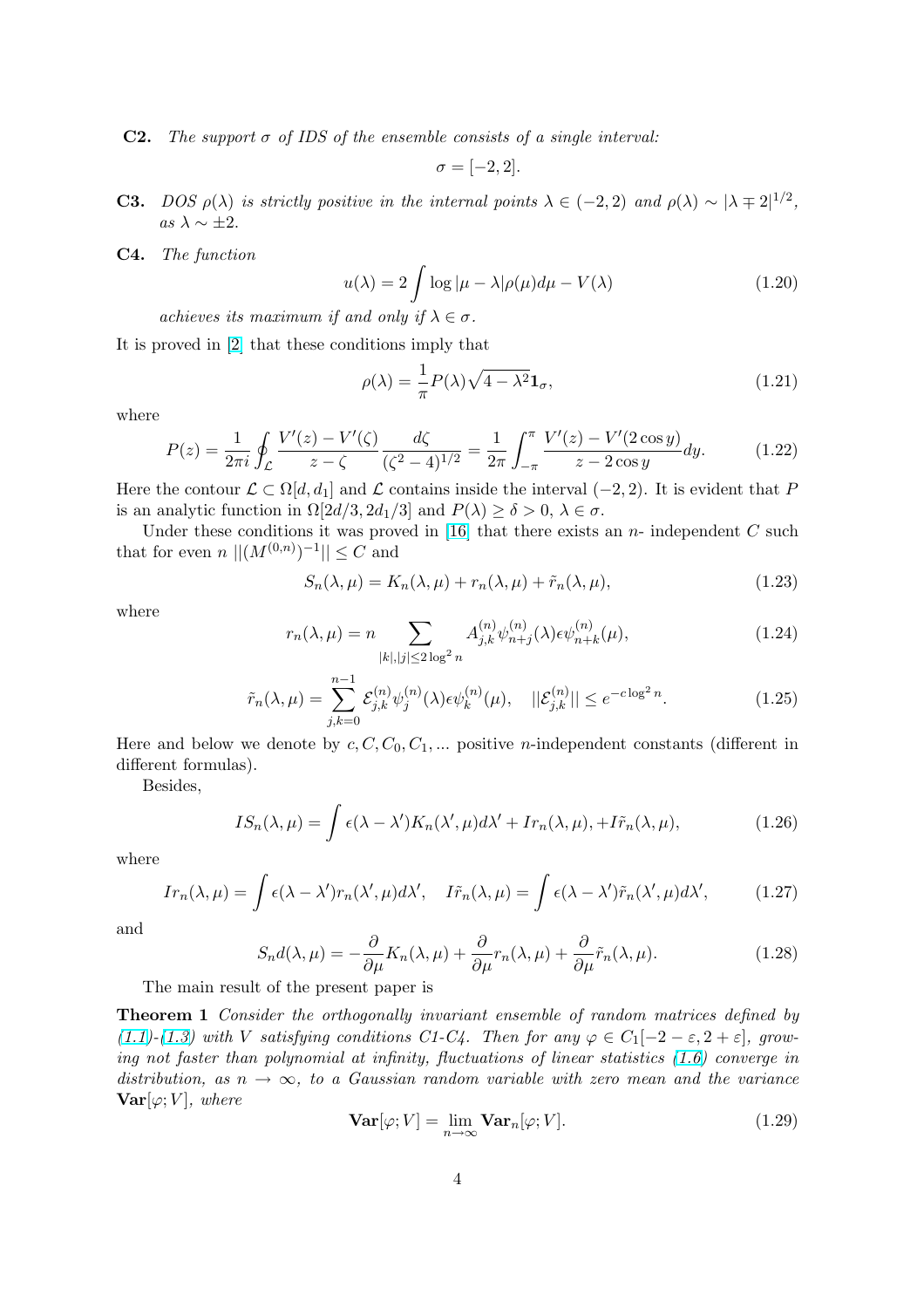<span id="page-3-0"></span>**C2.** The support  $\sigma$  of IDS of the ensemble consists of a single interval:

$$
\sigma = [-2, 2].
$$

- **C3.** DOS  $\rho(\lambda)$  is strictly positive in the internal points  $\lambda \in (-2, 2)$  and  $\rho(\lambda) \sim |\lambda \pm 2|^{1/2}$ , as  $\lambda \sim \pm 2$ .
- C4. The function

$$
u(\lambda) = 2 \int \log|\mu - \lambda| \rho(\mu) d\mu - V(\lambda)
$$
 (1.20)

achieves its maximum if and only if  $\lambda \in \sigma$ .

It is proved in [2] that these conditions imply that

$$
\rho(\lambda) = \frac{1}{\pi} P(\lambda) \sqrt{4 - \lambda^2} \mathbf{1}_{\sigma},\tag{1.21}
$$

where

$$
P(z) = \frac{1}{2\pi i} \oint_{\mathcal{L}} \frac{V'(z) - V'(\zeta)}{z - \zeta} \frac{d\zeta}{(\zeta^2 - 4)^{1/2}} = \frac{1}{2\pi} \int_{-\pi}^{\pi} \frac{V'(z) - V'(2\cos y)}{z - 2\cos y} dy.
$$
 (1.22)

Here the contour  $\mathcal{L} \subset \Omega[d, d_1]$  and  $\mathcal{L}$  contains inside the interval  $(-2, 2)$ . It is evident that P is an analytic function in  $\Omega[2d/3, 2d_1/3]$  and  $P(\lambda) \ge \delta > 0, \lambda \in \sigma$ .

Under these conditions it was proved in [16] that there exists an  $n-$  independent  $C$  such that for even  $n \, ||(M^{(0,n)})^{-1}|| \leq C$  and

$$
S_n(\lambda, \mu) = K_n(\lambda, \mu) + r_n(\lambda, \mu) + \tilde{r}_n(\lambda, \mu), \tag{1.23}
$$

where

$$
r_n(\lambda, \mu) = n \sum_{|k|, |j| \le 2\log^2 n} A_{j,k}^{(n)} \psi_{n+j}^{(n)}(\lambda) \epsilon \psi_{n+k}^{(n)}(\mu), \tag{1.24}
$$

$$
\tilde{r}_n(\lambda,\mu) = \sum_{j,k=0}^{n-1} \mathcal{E}_{j,k}^{(n)} \psi_j^{(n)}(\lambda) \epsilon \psi_k^{(n)}(\mu), \quad ||\mathcal{E}_{j,k}^{(n)}|| \le e^{-c \log^2 n}.
$$
\n(1.25)

Here and below we denote by  $c, C, C_0, C_1, \dots$  positive *n*-independent constants (different in different formulas).

Besides,

$$
IS_n(\lambda,\mu) = \int \epsilon(\lambda - \lambda') K_n(\lambda',\mu) d\lambda' + Ir_n(\lambda,\mu), +I\tilde{r}_n(\lambda,\mu), \qquad (1.26)
$$

where

$$
Ir_n(\lambda,\mu) = \int \epsilon(\lambda - \lambda')r_n(\lambda',\mu)d\lambda', \quad I\tilde{r}_n(\lambda,\mu) = \int \epsilon(\lambda - \lambda')\tilde{r}_n(\lambda',\mu)d\lambda', \quad (1.27)
$$

and

$$
S_n d(\lambda, \mu) = -\frac{\partial}{\partial \mu} K_n(\lambda, \mu) + \frac{\partial}{\partial \mu} r_n(\lambda, \mu) + \frac{\partial}{\partial \mu} \tilde{r}_n(\lambda, \mu). \tag{1.28}
$$

The main result of the present paper is

Theorem 1 Consider the orthogonally invariant ensemble of random matrices defined by (1.1)-(1.3) with V satisfying conditions C1-C4. Then for any  $\varphi \in C_1[-2-\varepsilon, 2+\varepsilon]$ , growing not faster than polynomial at infinity, fluctuations of linear statistics (1.6) converge in distribution, as  $n \to \infty$ , to a Gaussian random variable with zero mean and the variance  $\mathbf{Var}[\varphi;V],$  $\mathbf{Var}[\varphi;V],$  $\mathbf{Var}[\varphi;V],$  $\mathbf{Var}[\varphi;V],$  $\mathbf{Var}[\varphi;V],$  where

$$
\mathbf{Var}[\varphi; V] = \lim_{n \to \infty} \mathbf{Var}_n[\varphi; V]. \tag{1.29}
$$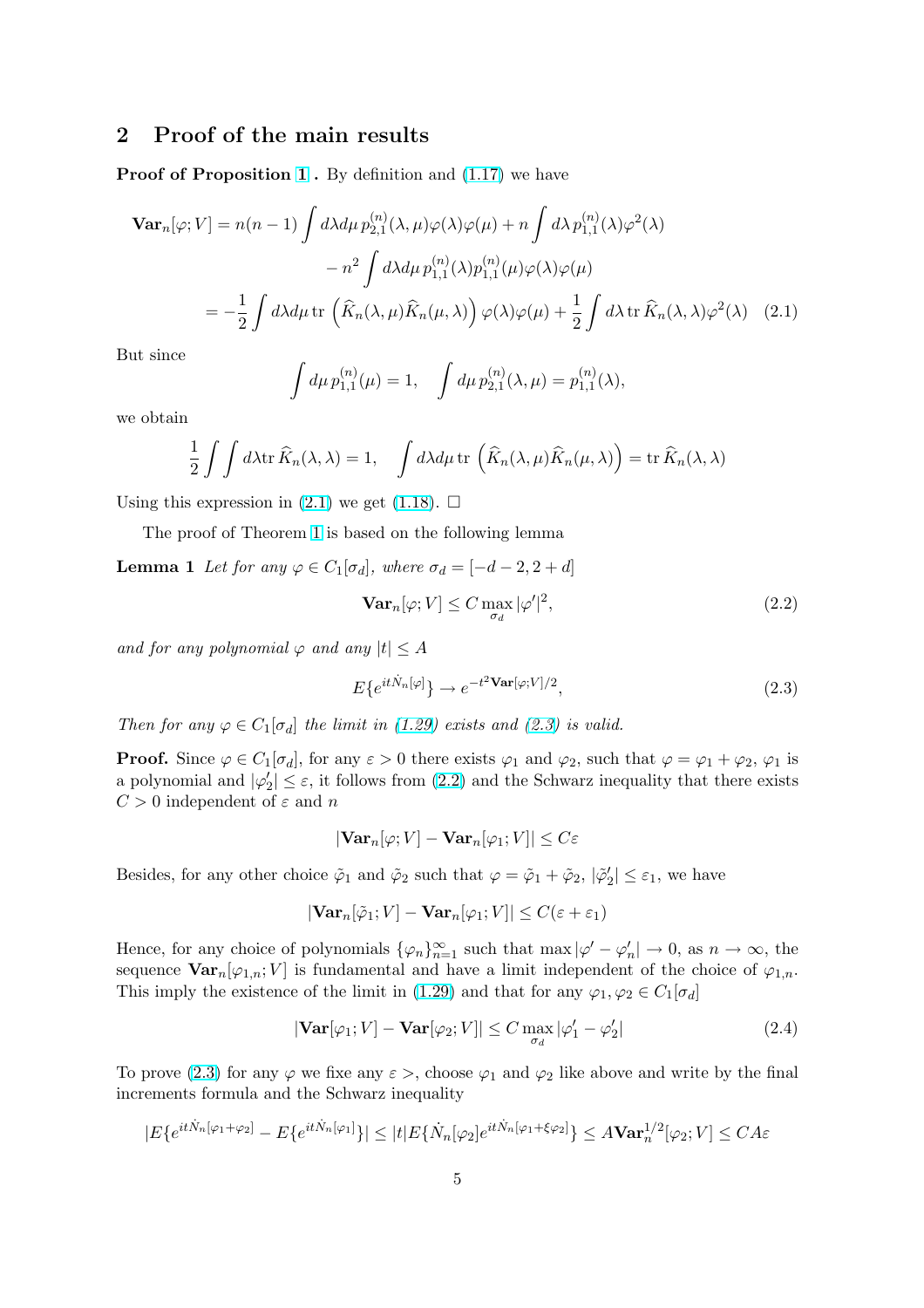## <span id="page-4-0"></span>2 Proof of the main results

**Proof of Proposition 1.** By definition and  $(1.17)$  we have

$$
\mathbf{Var}_{n}[\varphi; V] = n(n-1) \int d\lambda d\mu \, p_{2,1}^{(n)}(\lambda, \mu) \varphi(\lambda) \varphi(\mu) + n \int d\lambda \, p_{1,1}^{(n)}(\lambda) \varphi^{2}(\lambda)
$$

$$
- n^{2} \int d\lambda d\mu \, p_{1,1}^{(n)}(\lambda) p_{1,1}^{(n)}(\mu) \varphi(\lambda) \varphi(\mu)
$$

$$
= -\frac{1}{2} \int d\lambda d\mu \, \text{tr}\left(\widehat{K}_{n}(\lambda, \mu) \widehat{K}_{n}(\mu, \lambda)\right) \varphi(\lambda) \varphi(\mu) + \frac{1}{2} \int d\lambda \, \text{tr}\,\widehat{K}_{n}(\lambda, \lambda) \varphi^{2}(\lambda) \quad (2.1)
$$

But since

$$
\int d\mu \, p_{1,1}^{(n)}(\mu) = 1, \quad \int d\mu \, p_{2,1}^{(n)}(\lambda, \mu) = p_{1,1}^{(n)}(\lambda),
$$

we obtain

$$
\frac{1}{2} \int \int d\lambda \operatorname{tr} \widehat{K}_n(\lambda, \lambda) = 1, \quad \int d\lambda d\mu \operatorname{tr} \left( \widehat{K}_n(\lambda, \mu) \widehat{K}_n(\mu, \lambda) \right) = \operatorname{tr} \widehat{K}_n(\lambda, \lambda)
$$

Using this expression in  $(2.1)$  we get  $(1.18)$ .  $\Box$ 

The proof of Theorem 1 is based on the following lemma

**Lemma 1** Let for any  $\varphi \in C_1[\sigma_d]$ , w[here](#page-2-0)  $\sigma_d = [-d-2, 2+d]$ 

$$
\mathbf{Var}_n[\varphi; V] \le C \max_{\sigma_d} |\varphi'|^2,\tag{2.2}
$$

and for any polynomial  $\varphi$  and any  $|t| \leq A$ 

$$
E\{e^{it\dot{N}_n[\varphi]}\}\to e^{-t^2\mathbf{Var}[\varphi;V]/2},\tag{2.3}
$$

Then for any  $\varphi \in C_1[\sigma_d]$  the limit in (1.29) exists and (2.3) is valid.

**Proof.** Since  $\varphi \in C_1[\sigma_d]$ , for any  $\varepsilon > 0$  there exists  $\varphi_1$  and  $\varphi_2$ , such that  $\varphi = \varphi_1 + \varphi_2$ ,  $\varphi_1$  is a polynomial and  $|\varphi'_2| \leq \varepsilon$ , it follows from (2.2) and the Schwarz inequality that there exists  $C > 0$  independent of  $\varepsilon$  and n

$$
|\mathbf{Var}_n[\varphi; V] - \mathbf{Var}_n[\varphi_1; V]| \le C\varepsilon
$$

Besides, for any other choice  $\tilde{\varphi}_1$  and  $\tilde{\varphi}_2$  such that  $\varphi = \tilde{\varphi}_1 + \tilde{\varphi}_2$ ,  $|\tilde{\varphi}_2| \leq \varepsilon_1$ , we have

$$
|\textbf{Var}_{n}[\tilde{\varphi}_1; V] - \textbf{Var}_{n}[\varphi_1; V]| \le C(\varepsilon + \varepsilon_1)
$$

Hence, for any choice of polynomials  $\{\varphi_n\}_{n=1}^{\infty}$  such that  $\max |\varphi' - \varphi'_n| \to 0$ , as  $n \to \infty$ , the sequence  $\text{Var}_n[\varphi_{1,n}; V]$  is fundamental and have a limit independent of the choice of  $\varphi_{1,n}$ . This imply the existence of the limit in (1.29) and that for any  $\varphi_1, \varphi_2 \in C_1[\sigma_d]$ 

$$
|\mathbf{Var}[\varphi_1; V] - \mathbf{Var}[\varphi_2; V]| \le C \max_{\sigma_d} |\varphi_1' - \varphi_2'| \tag{2.4}
$$

To prove (2.3) for any  $\varphi$  we fixe any  $\varepsilon$  >[, cho](#page-3-0)ose  $\varphi_1$  and  $\varphi_2$  like above and write by the final increments formula and the Schwarz inequality

$$
|E\{e^{it\dot{N}_n[\varphi_1+\varphi_2]}-E\{e^{it\dot{N}_n[\varphi_1]}\}|\leq |t|E\{\dot{N}_n[\varphi_2]e^{it\dot{N}_n[\varphi_1+\xi\varphi_2]}\}\leq A\mathbf{Var}_n^{1/2}[\varphi_2;V]\leq CA\varepsilon
$$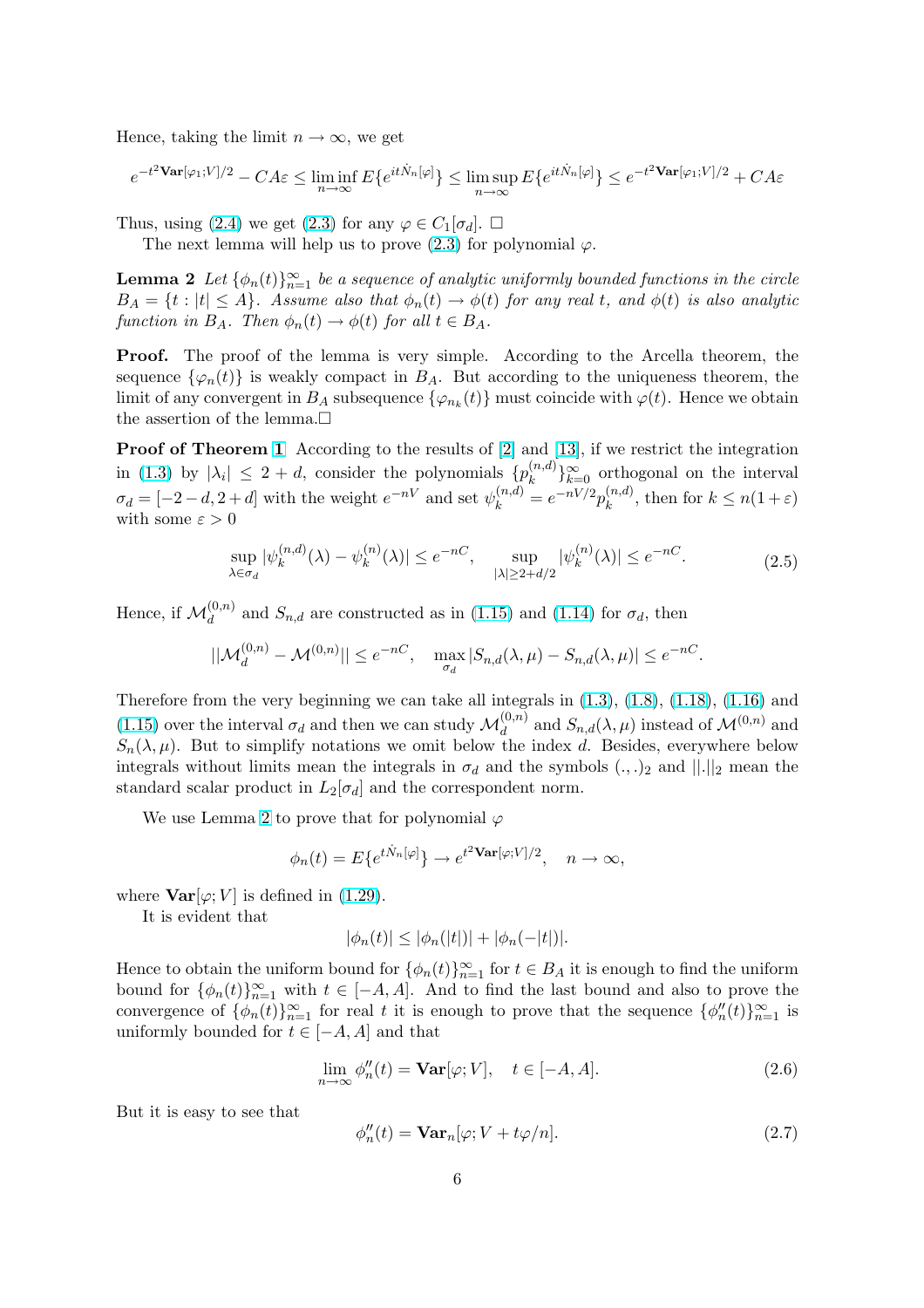<span id="page-5-0"></span>Hence, taking the limit  $n \to \infty$ , we get

$$
e^{-t^2 \mathbf{Var}[\varphi_1;V]/2} - CA\varepsilon \le \liminf_{n \to \infty} E\{e^{it\dot{N}_n[\varphi]}\} \le \limsup_{n \to \infty} E\{e^{it\dot{N}_n[\varphi]}\} \le e^{-t^2 \mathbf{Var}[\varphi_1;V]/2} + CA\varepsilon
$$

Thus, using (2.4) we get (2.3) for any  $\varphi \in C_1[\sigma_d]$ .  $\Box$ 

The next lemma will help us to prove  $(2.3)$  for polynomial  $\varphi$ .

**Lemma 2** Let  $\{\phi_n(t)\}_{n=1}^{\infty}$  be a sequence of analytic uniformly bounded functions in the circle  $B_A = \{t : |t| \leq A\}$ . Assu[me](#page-4-0) also that  $\phi_n(t) \to \phi(t)$  for any real t, and  $\phi(t)$  is also analytic function in  $B_A$ . Then  $\phi_n(t) \to \phi(t)$  for all  $t \in B_A$ .

Proof. The proof of the lemma is very simple. According to the Arcella theorem, the sequence  $\{\varphi_n(t)\}\$ is weakly compact in  $B_A$ . But according to the uniqueness theorem, the limit of any convergent in  $B_A$  subsequence  $\{\varphi_{n_k}(t)\}\$  must coincide with  $\varphi(t)$ . Hence we obtain the assertion of the lemma.

**Proof of Theorem 1** According to the results of [2] and [13], if we restrict the integration in (1.3) by  $|\lambda_i| \leq 2 + d$ , consider the polynomials  $\{p_k^{(n,d)}\}$  ${k^{(n,d)}\}_{k=0}^{\infty}$  orthogonal on the interval  $\sigma_d = [-2-d, 2+d]$  with the weight  $e^{-nV}$  and set  $\psi_k^{(n,d)} = e^{-nV/2} p_k^{(n,d)}$  $\binom{n,a}{k}$ , then for  $k \leq n(1+\varepsilon)$ with some  $\varepsilon > 0$ 

$$
\sup_{\lambda \in \sigma_d} |\psi_k^{(n,d)}(\lambda) - \psi_k^{(n)}(\lambda)| \le e^{-nC}, \quad \sup_{|\lambda| \ge 2 + d/2} |\psi_k^{(n)}(\lambda)| \le e^{-nC}.
$$
\n(2.5)

Hence, if  $\mathcal{M}_d^{(0,n)}$  and  $S_{n,d}$  are constructed as in (1.15) and (1.14) for  $\sigma_d$ , then

$$
||\mathcal{M}_d^{(0,n)} - \mathcal{M}^{(0,n)}|| \le e^{-nC}, \quad \max_{\sigma_d} |S_{n,d}(\lambda,\mu) - S_{n,d}(\lambda,\mu)| \le e^{-nC}.
$$

Therefore from the very beginning we can take [all int](#page-2-0)egrals in  $(1.3)$ ,  $(1.8)$ ,  $(1.18)$ ,  $(1.16)$  and (1.15) over the interval  $\sigma_d$  and then we can study  $\mathcal{M}_d^{(0,n)}$  and  $S_{n,d}(\lambda,\mu)$  instead of  $\mathcal{M}^{(0,n)}$  and  $S_n(\lambda,\mu)$ . But to simplify notations we omit below the index d. Besides, everywhere below integrals without limits [mean](#page-2-0) the integrals in  $\sigma_d$  and the sym[bols](#page-0-0)  $(.,.)_2$  a[nd](#page-2-0)  $||.||_2$  mean the [stand](#page-2-0)ard scalar product in  $L_2[\sigma_d]$  and the correspondent norm.

We use Lemma 2 to prove that for polynomial  $\varphi$ 

$$
\phi_n(t) = E\{e^{t\dot{N}_n[\varphi]}\} \to e^{t^2 \mathbf{Var}[\varphi;V]/2}, \quad n \to \infty,
$$

where  $\text{Var}[\varphi; V]$  is defined in (1.29).

It is evident that

$$
|\phi_n(t)| \le |\phi_n(|t|)| + |\phi_n(-|t|)|.
$$

Hence to obtain the uniform b[ound](#page-3-0) for  $\{\phi_n(t)\}_{n=1}^{\infty}$  for  $t \in B_A$  it is enough to find the uniform bound for  $\{\phi_n(t)\}_{n=1}^{\infty}$  with  $t \in [-A, A]$ . And to find the last bound and also to prove the convergence of  $\{\phi_n(t)\}_{n=1}^{\infty}$  for real t it is enough to prove that the sequence  $\{\phi_n''(t)\}_{n=1}^{\infty}$  is uniformly bounded for  $t \in [-A, A]$  and that

$$
\lim_{n \to \infty} \phi_n''(t) = \mathbf{Var}[\varphi; V], \quad t \in [-A, A]. \tag{2.6}
$$

But it is easy to see that

$$
\phi_n''(t) = \mathbf{Var}_n[\varphi; V + t\varphi/n].\tag{2.7}
$$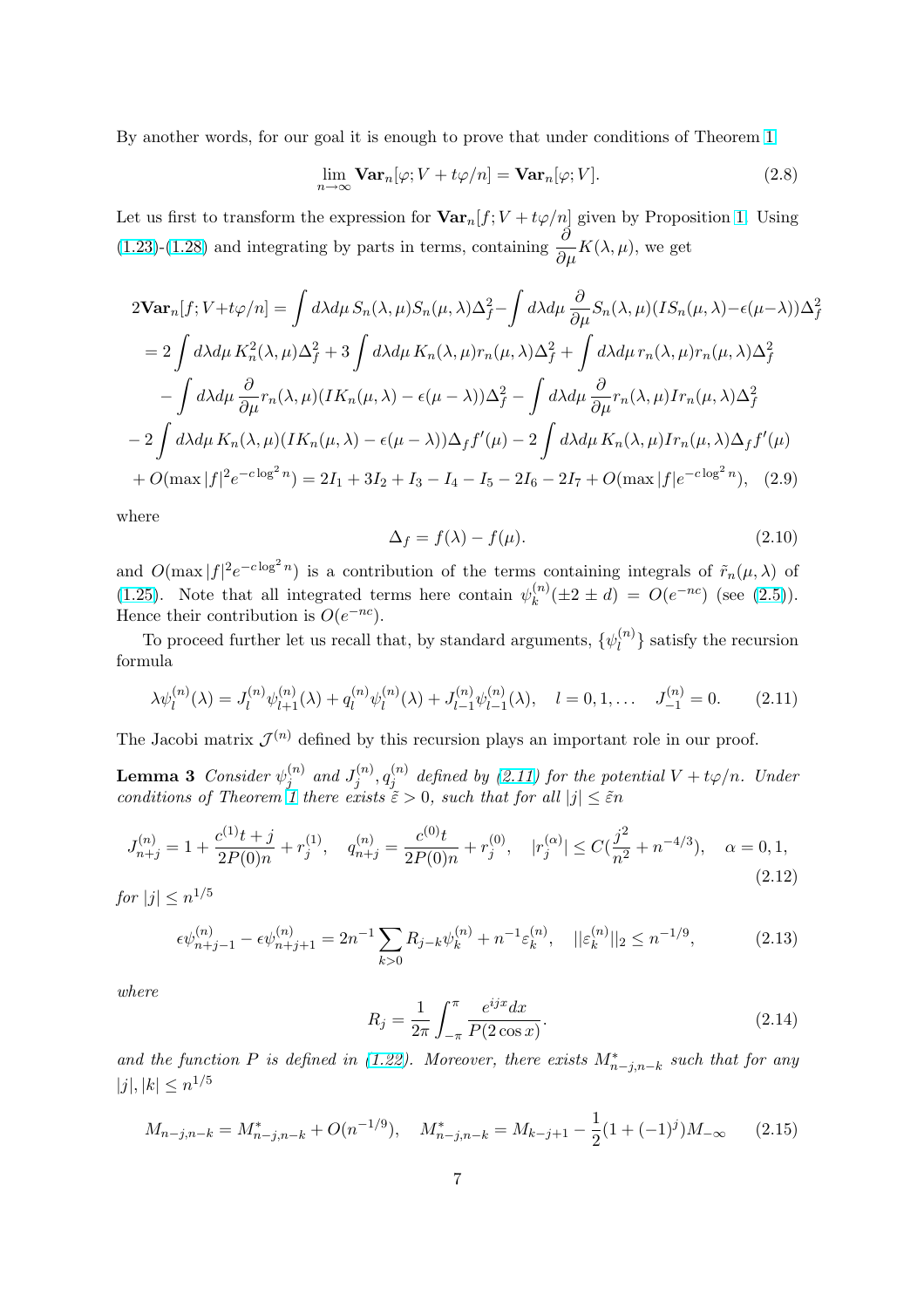<span id="page-6-0"></span>By another words, for our goal it is enough to prove that under conditions of Theorem 1

$$
\lim_{n \to \infty} \mathbf{Var}_n[\varphi; V + t\varphi/n] = \mathbf{Var}_n[\varphi; V]. \tag{2.8}
$$

Let us first to transform the expression for  $\text{Var}_n[f; V + t\varphi/n]$  given by Proposition 1. [Us](#page-3-0)ing (1.23)-(1.28) and integrating by parts in terms, containing  $\frac{\partial}{\partial \mu}K(\lambda, \mu)$ , we get

$$
2\mathbf{Var}_{n}[f; V+t\varphi/n] = \int d\lambda d\mu S_{n}(\lambda, \mu) S_{n}(\mu, \lambda) \Delta_{f}^{2} - \int d\lambda d\mu \frac{\partial}{\partial \mu} S_{n}(\lambda, \mu) (IS_{n}(\mu, \lambda) - \epsilon(\mu - \lambda)) \Delta_{f}^{2}
$$
  
\n
$$
= 2 \int d\lambda d\mu K_{n}^{2}(\lambda, \mu) \Delta_{f}^{2} + 3 \int d\lambda d\mu K_{n}(\lambda, \mu) r_{n}(\mu, \lambda) \Delta_{f}^{2} + \int d\lambda d\mu r_{n}(\lambda, \mu) r_{n}(\mu, \lambda) \Delta_{f}^{2}
$$
  
\n
$$
- \int d\lambda d\mu \frac{\partial}{\partial \mu} r_{n}(\lambda, \mu) (IK_{n}(\mu, \lambda) - \epsilon(\mu - \lambda)) \Delta_{f}^{2} - \int d\lambda d\mu \frac{\partial}{\partial \mu} r_{n}(\lambda, \mu) Ir_{n}(\mu, \lambda) \Delta_{f}^{2}
$$
  
\n
$$
- 2 \int d\lambda d\mu K_{n}(\lambda, \mu) (IK_{n}(\mu, \lambda) - \epsilon(\mu - \lambda)) \Delta_{f} f'(\mu) - 2 \int d\lambda d\mu K_{n}(\lambda, \mu) Ir_{n}(\mu, \lambda) \Delta_{f} f'(\mu)
$$
  
\n
$$
+ O(\max |f|^{2} e^{-c \log^{2} n}) = 2I_{1} + 3I_{2} + I_{3} - I_{4} - I_{5} - 2I_{6} - 2I_{7} + O(\max |f| e^{-c \log^{2} n}), \quad (2.9)
$$

where

$$
\Delta_f = f(\lambda) - f(\mu). \tag{2.10}
$$

and  $O(\max |f|^2 e^{-c \log^2 n})$  is a contribution of the terms containing integrals of  $\tilde{r}_n(\mu, \lambda)$  of (1.25). Note that all integrated terms here contain  $\psi_k^{(n)}$  $k^{(n)}(\pm 2 \pm d) = O(e^{-nc})$  (see (2.5)). Hence their contribution is  $O(e^{-nc})$ .

To proceed further let us recall that, by standard arguments,  $\{\psi_l^{(n)}\}$  $\binom{n}{l}$  satisfy the recursion [formu](#page-3-0)la

$$
\lambda \psi_l^{(n)}(\lambda) = J_l^{(n)} \psi_{l+1}^{(n)}(\lambda) + q_l^{(n)} \psi_l^{(n)}(\lambda) + J_{l-1}^{(n)} \psi_{l-1}^{(n)}(\lambda), \quad l = 0, 1, \dots \quad J_{-1}^{(n)} = 0. \tag{2.11}
$$

The Jacobi matrix  $\mathcal{J}^{(n)}$  defined by this recursion plays an important role in our proof.

**Lemma 3** Consider  $\psi_i^{(n)}$  $j^{(n)}$  and  $J_j^{(n)}$  $j^{(n)}, q_j^{(n)}$  $j_j^{(n)}$  defined by (2.11) for the potential  $V + t\varphi/n$ . Under conditions of Theorem 1 there exists  $\tilde{\varepsilon} > 0$ , such that for all  $|j| \leq \tilde{\varepsilon}n$ 

$$
J_{n+j}^{(n)} = 1 + \frac{c^{(1)}t + j}{2P(0)n} + r_j^{(1)}, \quad q_{n+j}^{(n)} = \frac{c^{(0)}t}{2P(0)n} + r_j^{(0)}, \quad |r_j^{(\alpha)}| \le C(\frac{j^2}{n^2} + n^{-4/3}), \quad \alpha = 0, 1,
$$
\n(2.12)

for  $|j| \leq n^{1/5}$ 

$$
\epsilon \psi_{n+j-1}^{(n)} - \epsilon \psi_{n+j+1}^{(n)} = 2n^{-1} \sum_{k>0} R_{j-k} \psi_k^{(n)} + n^{-1} \varepsilon_k^{(n)}, \quad ||\varepsilon_k^{(n)}||_2 \le n^{-1/9},\tag{2.13}
$$

where

$$
R_j = \frac{1}{2\pi} \int_{-\pi}^{\pi} \frac{e^{ijx} dx}{P(2\cos x)}.
$$
 (2.14)

and the function P is defined in (1.22). Moreover, there exists  $M^*_{n-j,n-k}$  such that for any  $|j|, |k| \leq n^{1/5}$ 

$$
M_{n-j,n-k} = M_{n-j,n-k}^* + O(n^{-1/9}), \quad M_{n-j,n-k}^* = M_{k-j+1} - \frac{1}{2}(1 + (-1)^j)M_{-\infty} \tag{2.15}
$$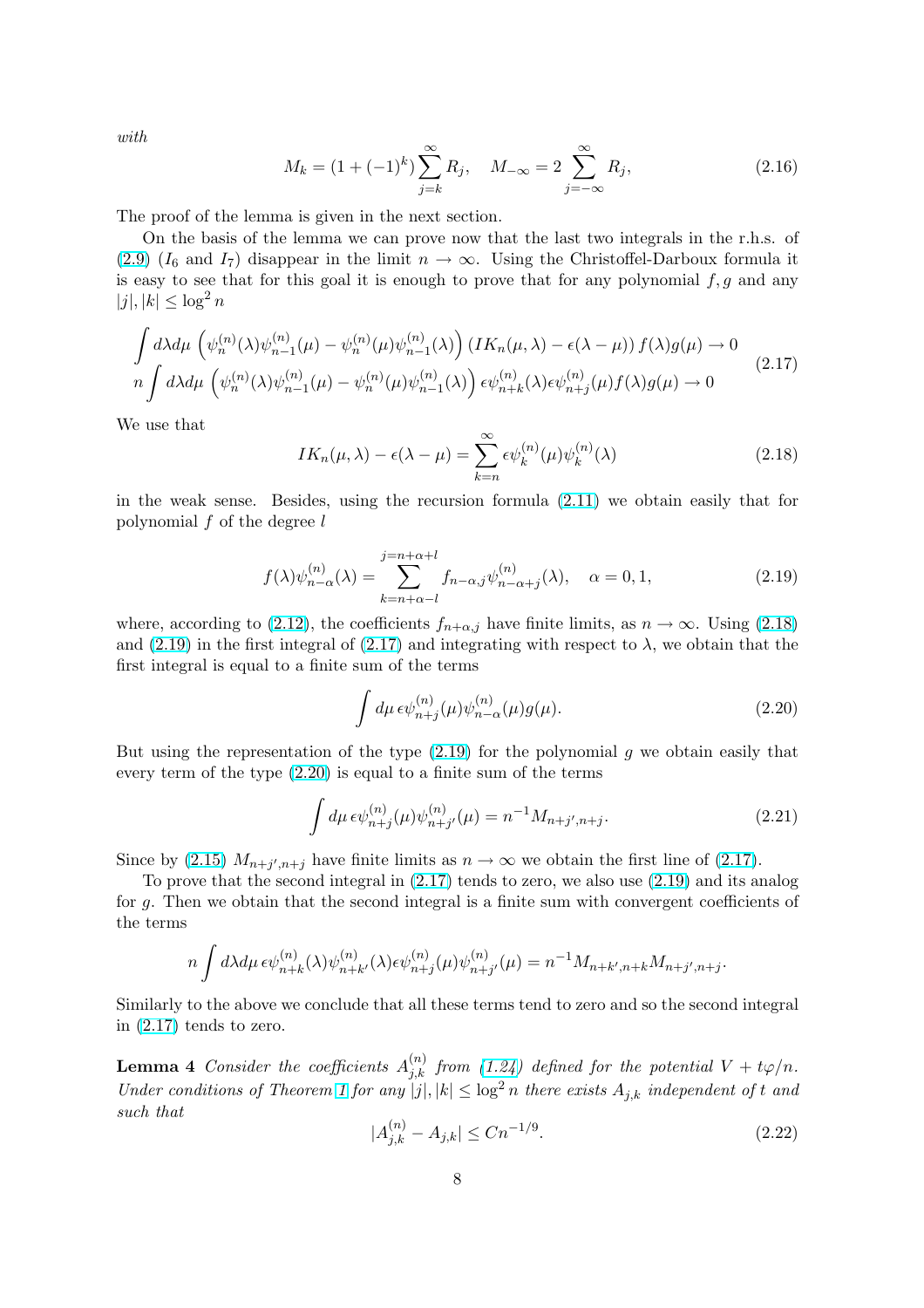<span id="page-7-0"></span>with

$$
M_k = (1 + (-1)^k) \sum_{j=k}^{\infty} R_j, \quad M_{-\infty} = 2 \sum_{j=-\infty}^{\infty} R_j,
$$
 (2.16)

The proof of the lemma is given in the next section.

On the basis of the lemma we can prove now that the last two integrals in the r.h.s. of (2.9)  $(I_6 \text{ and } I_7)$  disappear in the limit  $n \to \infty$ . Using the Christoffel-Darboux formula it is easy to see that for this goal it is enough to prove that for any polynomial  $f, g$  and any  $|j|, |k| \leq \log^2 n$ 

$$
\int d\lambda d\mu \left( \psi_n^{(n)}(\lambda)\psi_{n-1}^{(n)}(\mu) - \psi_n^{(n)}(\mu)\psi_{n-1}^{(n)}(\lambda) \right) \left( IK_n(\mu, \lambda) - \epsilon(\lambda - \mu) \right) f(\lambda)g(\mu) \to 0
$$
\n
$$
n \int d\lambda d\mu \left( \psi_n^{(n)}(\lambda)\psi_{n-1}^{(n)}(\mu) - \psi_n^{(n)}(\mu)\psi_{n-1}^{(n)}(\lambda) \right) \epsilon \psi_{n+k}^{(n)}(\lambda) \epsilon \psi_{n+j}^{(n)}(\mu) f(\lambda)g(\mu) \to 0
$$
\n(2.17)

We use that

$$
IK_n(\mu,\lambda) - \epsilon(\lambda - \mu) = \sum_{k=n}^{\infty} \epsilon \psi_k^{(n)}(\mu) \psi_k^{(n)}(\lambda)
$$
\n(2.18)

in the weak sense. Besides, using the recursion formula (2.11) we obtain easily that for polynomial  $f$  of the degree  $l$ 

$$
f(\lambda)\psi_{n-\alpha}^{(n)}(\lambda) = \sum_{k=n+\alpha-l}^{j=n+\alpha+l} f_{n-\alpha,j}\psi_{n-\alpha+j}^{(n)}(\lambda), \quad \alpha = 0, 1,
$$
\n(2.19)

where, according to (2.12), the coefficients  $f_{n+\alpha,j}$  have finite limits, as  $n \to \infty$ . Using (2.18) and (2.19) in the first integral of (2.17) and integrating with respect to  $\lambda$ , we obtain that the first integral is equal to a finite sum of the terms

$$
\int d\mu \,\epsilon \psi_{n+j}^{(n)}(\mu)\psi_{n-\alpha}^{(n)}(\mu)g(\mu). \tag{2.20}
$$

But using the representation of the type  $(2.19)$  for the polynomial g we obtain easily that every term of the type (2.20) is equal to a finite sum of the terms

$$
\int d\mu \, \epsilon \psi_{n+j}^{(n)}(\mu) \psi_{n+j'}^{(n)}(\mu) = n^{-1} M_{n+j',n+j}.
$$
\n(2.21)

Since by (2.15)  $M_{n+j',n+j}$  have finite limits as  $n \to \infty$  we obtain the first line of (2.17).

To prove that the second integral in (2.17) tends to zero, we also use (2.19) and its analog for g. Then we obtain that the second integral is a finite sum with convergent coefficients of the terms

$$
n \int d\lambda d\mu \, \epsilon \psi_{n+k}^{(n)}(\lambda) \psi_{n+k'}^{(n)}(\lambda) \epsilon \psi_{n+j}^{(n)}(\mu) \psi_{n+j'}^{(n)}(\mu) = n^{-1} M_{n+k',n+k} M_{n+j',n+j}.
$$

Similarly to the above we conclude that all these terms tend to zero and so the second integral in (2.17) tends to zero.

**Lemma 4** Consider the coefficients  $A_{j,k}^{(n)}$  from (1.24) defined for the potential  $V + t\varphi/n$ . Under conditions of Theorem 1 for any  $|j|, |k| \leq \log^2 n$  there exists  $A_{j,k}$  independent of t and such that

$$
|A_{j,k}^{(n)} - A_{j,k}| \le Cn^{-1/9}.\tag{2.22}
$$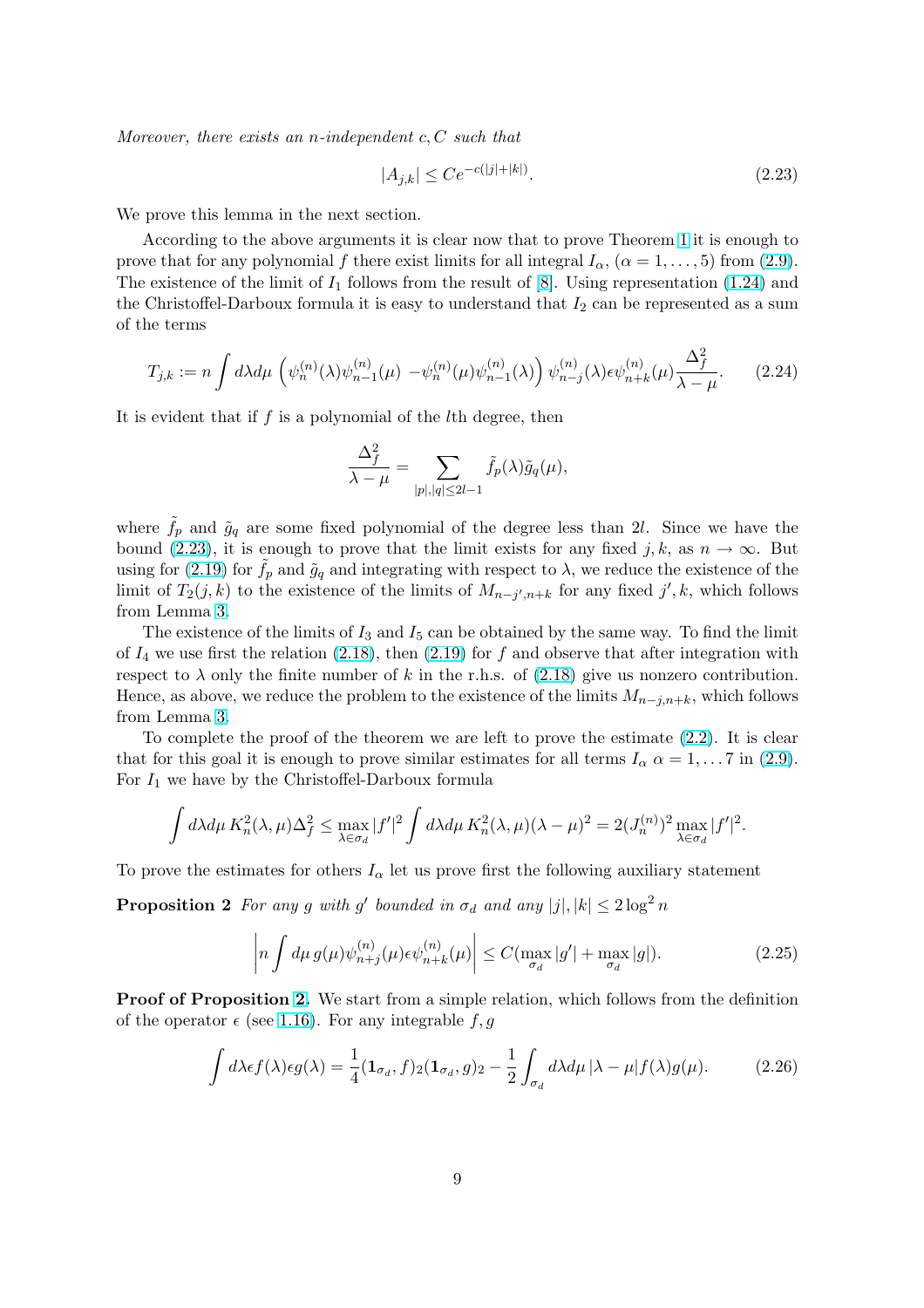<span id="page-8-0"></span>Moreover, there exists an *n*-independent  $c, C$  such that

$$
|A_{j,k}| \le Ce^{-c(|j|+|k|)}.\tag{2.23}
$$

We prove this lemma in the next section.

According to the above arguments it is clear now that to prove Theorem 1 it is enough to prove that for any polynomial f there exist limits for all integral  $I_{\alpha}$ ,  $(\alpha = 1, \ldots, 5)$  from (2.9). The existence of the limit of  $I_1$  follows from the result of [8]. Using representation (1.24) and the Christoffel-Darboux formula it is easy to understand that  $I_2$  can be repr[ese](#page-3-0)nted as a sum of the terms

$$
T_{j,k} := n \int d\lambda d\mu \left( \psi_n^{(n)}(\lambda) \psi_{n-1}^{(n)}(\mu) - \psi_n^{(n)}(\mu) \psi_{n-1}^{(n)}(\lambda) \right) \psi_{n-j}^{(n)}(\lambda) \epsilon \psi_{n+k}^{(n)}(\mu) \frac{\Delta_f^2}{\lambda - \mu}.
$$
 (2.24)

It is evident that if  $f$  is a polynomial of the  $l$ <sup>th</sup> degree, then

$$
\frac{\Delta_f^2}{\lambda - \mu} = \sum_{|p|, |q| \le 2l - 1} \tilde{f}_p(\lambda) \tilde{g}_q(\mu),
$$

where  $\tilde{f}_p$  and  $\tilde{g}_q$  are some fixed polynomial of the degree less than 2l. Since we have the bound (2.23), it is enough to prove that the limit exists for any fixed j, k, as  $n \to \infty$ . But using for (2.19) for  $f_p$  and  $\tilde{g}_q$  and integrating with respect to  $\lambda$ , we reduce the existence of the limit of  $T_2(j,k)$  to the existence of the limits of  $M_{n-j',n+k}$  for any fixed j', k, which follows from Lemma 3.

The existence of the limits of  $I_3$  and  $I_5$  can be obtained by the same way. To find the limit of $I_4$  we u[se fir](#page-7-0)st the relation (2.18), then (2.19) for f and observe that after integration with respect to  $\lambda$  only the finite number of k in the r.h.s. of (2.18) give us nonzero contribution. Hence, as ab[ove](#page-6-0), we reduce the problem to the existence of the limits  $M_{n-j,n+k}$ , which follows from Lemma 3.

To complete the proof of [the th](#page-7-0)eorem [we a](#page-7-0)re left to prove the estimate (2.2). It is clear that for this goal it is enough to prove similar estimates [for al](#page-7-0)l terms  $I_{\alpha} \alpha = 1, \dots, 7$  in (2.9). For  $I_1$  we ha[ve](#page-6-0) by the Christoffel-Darboux formula

$$
\int d\lambda d\mu \, K_n^2(\lambda, \mu) \Delta_f^2 \le \max_{\lambda \in \sigma_d} |f'|^2 \int d\lambda d\mu \, K_n^2(\lambda, \mu) (\lambda - \mu)^2 = 2(J_n^{(n)})^2 \max_{\lambda \in \sigma_d} |f'|^2.
$$

To prove the estimates for others  $I_{\alpha}$  let us prove first the following auxiliary statement

**Proposition 2** For any g with g' bounded in  $\sigma_d$  and any  $|j|, |k| \leq 2 \log^2 n$ 

$$
\left| n \int d\mu \, g(\mu) \psi_{n+j}^{(n)}(\mu) \epsilon \psi_{n+k}^{(n)}(\mu) \right| \le C(\max_{\sigma_d} |g'| + \max_{\sigma_d} |g|). \tag{2.25}
$$

Proof of Proposition 2. We start from a simple relation, which follows from the definition of the operator  $\epsilon$  (see 1.16). For any integrable f, g

$$
\int d\lambda \epsilon f(\lambda) \epsilon g(\lambda) = \frac{1}{4} (\mathbf{1}_{\sigma_d}, f)_2 (\mathbf{1}_{\sigma_d}, g)_2 - \frac{1}{2} \int_{\sigma_d} d\lambda d\mu \, |\lambda - \mu| f(\lambda) g(\mu). \tag{2.26}
$$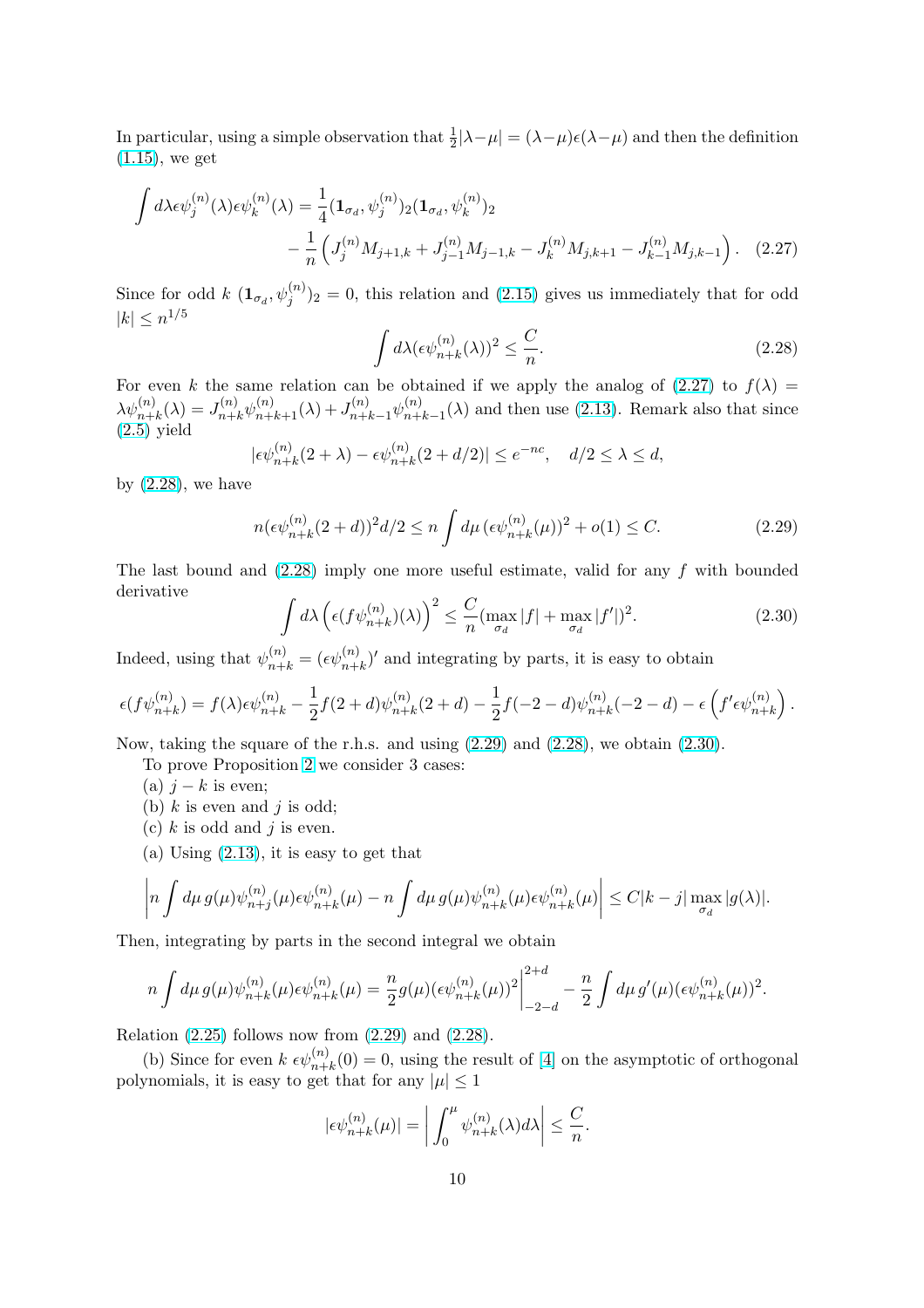<span id="page-9-0"></span>In particular, using a simple observation that  $\frac{1}{2}|\lambda-\mu| = (\lambda-\mu)\epsilon(\lambda-\mu)$  and then the definition  $(1.15)$ , we get

$$
\int d\lambda \epsilon \psi_j^{(n)}(\lambda) \epsilon \psi_k^{(n)}(\lambda) = \frac{1}{4} (\mathbf{1}_{\sigma_d}, \psi_j^{(n)})_2 (\mathbf{1}_{\sigma_d}, \psi_k^{(n)})_2 \n- \frac{1}{n} \left( J_j^{(n)} M_{j+1,k} + J_{j-1}^{(n)} M_{j-1,k} - J_k^{(n)} M_{j,k+1} - J_{k-1}^{(n)} M_{j,k-1} \right). \tag{2.27}
$$

Since for odd  $k\ (\mathbf{1}_{\sigma_d}, \psi_j^{(n)})_2 = 0$ , this relation and (2.15) gives us immediately that for odd  $|k| \leq n^{1/5}$ 

$$
\int d\lambda (\epsilon \psi_{n+k}^{(n)}(\lambda))^2 \le \frac{C}{n}.\tag{2.28}
$$

For even k the same relation can be obtained if [we app](#page-6-0)ly the analog of  $(2.27)$  to  $f(\lambda) =$  $\lambda \psi_{n+k}^{(n)}(\lambda) = J_{n+k}^{(n)} \psi_{n+k+1}^{(n)}(\lambda) + J_{n+k-1}^{(n)} \psi_{n+k}^{(n)}$  $\binom{n}{n+k-1}(\lambda)$  and then use (2.13). Remark also that since  $(2.5)$  yield

$$
|\epsilon \psi_{n+k}^{(n)}(2+\lambda) - \epsilon \psi_{n+k}^{(n)}(2+d/2)| \le e^{-nc}, \quad d/2 \le \lambda \le d,
$$

by  $(2.28)$ , we have

$$
n(\epsilon \psi_{n+k}^{(n)}(2+d))^2 d/2 \le n \int d\mu \, (\epsilon \psi_{n+k}^{(n)}(\mu))^2 + o(1) \le C. \tag{2.29}
$$

The last bound and (2.28) imply one more useful estimate, valid for any f with bounded derivative  $\sqrt{2}$ 

$$
\int d\lambda \left( \epsilon (f \psi_{n+k}^{(n)})(\lambda) \right)^2 \le \frac{C}{n} (\max_{\sigma_d} |f| + \max_{\sigma_d} |f'|)^2. \tag{2.30}
$$

Indeed, using that  $\psi_{n+k}^{(n)} = (\epsilon \psi_{n+k}^{(n)})'$  and integrating by parts, it is easy to obtain

$$
\epsilon(f\psi_{n+k}^{(n)})=f(\lambda)\epsilon \psi_{n+k}^{(n)}-\frac{1}{2}f(2+d)\psi_{n+k}^{(n)}(2+d)-\frac{1}{2}f(-2-d)\psi_{n+k}^{(n)}(-2-d)-\epsilon\left(f'\epsilon \psi_{n+k}^{(n)}\right).
$$

Now, taking the square of the r.h.s. and using (2.29) and (2.28), we obtain (2.30).

To prove Proposition 2 we consider 3 cases:

- (a)  $j k$  is even;
- (b)  $k$  is even and  $j$  is odd;
- (c)  $k$  is odd and  $j$  is even.
- (a) Using  $(2.13)$ , it is [ea](#page-8-0)sy to get that

$$
\left|n\int d\mu\, g(\mu)\psi_{n+j}^{(n)}(\mu)\epsilon\psi_{n+k}^{(n)}(\mu)-n\int d\mu\, g(\mu)\psi_{n+k}^{(n)}(\mu)\epsilon\psi_{n+k}^{(n)}(\mu)\right|\leq C|k-j|\max_{\sigma_d}|g(\lambda)|.
$$

Then, integra[ting b](#page-6-0)y parts in the second integral we obtain

$$
n\int d\mu g(\mu)\psi_{n+k}^{(n)}(\mu)\epsilon\psi_{n+k}^{(n)}(\mu) = \frac{n}{2}g(\mu)(\epsilon\psi_{n+k}^{(n)}(\mu))^{2}\bigg|_{-2-d}^{2+d} - \frac{n}{2}\int d\mu g'(\mu)(\epsilon\psi_{n+k}^{(n)}(\mu))^{2}.
$$

Relation  $(2.25)$  follows now from  $(2.29)$  and  $(2.28)$ .

(b) Since for even  $k \epsilon \psi_{n+k}^{(n)}(0) = 0$ , using the result of [4] on the asymptotic of orthogonal polynomials, it is easy to get that for any  $|\mu| \leq 1$ 

$$
|\epsilon \psi_{n+k}^{(n)}(\mu)| = \left| \int_0^\mu \psi_{n+k}^{(n)}(\lambda) d\lambda \right| \leq \frac{C}{n}.
$$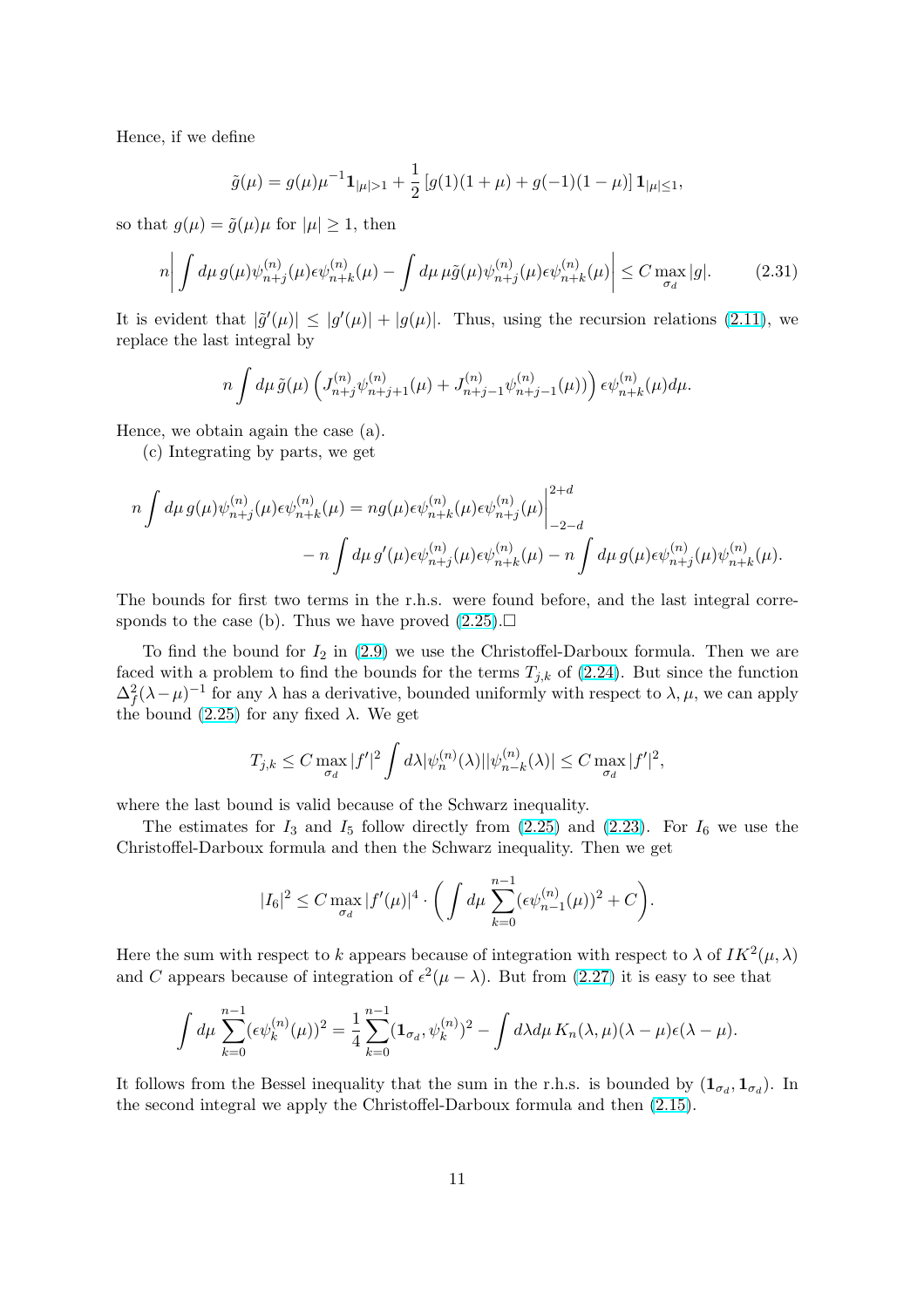Hence, if we define

$$
\tilde{g}(\mu) = g(\mu)\mu^{-1} \mathbf{1}_{|\mu|>1} + \frac{1}{2} \left[ g(1)(1+\mu) + g(-1)(1-\mu) \right] \mathbf{1}_{|\mu| \le 1},
$$

so that  $q(\mu) = \tilde{q}(\mu)\mu$  for  $|\mu| \geq 1$ , then

$$
n\bigg|\int d\mu \, g(\mu)\psi_{n+j}^{(n)}(\mu)\epsilon\psi_{n+k}^{(n)}(\mu) - \int d\mu \,\mu\tilde{g}(\mu)\psi_{n+j}^{(n)}(\mu)\epsilon\psi_{n+k}^{(n)}(\mu)\bigg|\leq C \max_{\sigma_d} |g|.\tag{2.31}
$$

It is evident that  $|\tilde{g}'(\mu)| \leq |g'(\mu)| + |g(\mu)|$ . Thus, using the recursion relations (2.11), we replace the last integral by

$$
n\int d\mu \, \tilde{g}(\mu) \left( J_{n+j}^{(n)} \psi_{n+j+1}^{(n)}(\mu) + J_{n+j-1}^{(n)} \psi_{n+j-1}^{(n)}(\mu) \right) \epsilon \psi_{n+k}^{(n)}(\mu) d\mu.
$$

Hence, we obtain again the case (a).

(c) Integrating by parts, we get

$$
n\int d\mu g(\mu)\psi_{n+j}^{(n)}(\mu)\epsilon\psi_{n+k}^{(n)}(\mu) = n g(\mu)\epsilon\psi_{n+k}^{(n)}(\mu)\epsilon\psi_{n+j}^{(n)}(\mu)\Big|_{-2-d}^{2+d}
$$
  

$$
-n\int d\mu g'(\mu)\epsilon\psi_{n+j}^{(n)}(\mu)\epsilon\psi_{n+k}^{(n)}(\mu) - n\int d\mu g(\mu)\epsilon\psi_{n+j}^{(n)}(\mu)\psi_{n+k}^{(n)}(\mu).
$$

The bounds for first two terms in the r.h.s. were found before, and the last integral corresponds to the case (b). Thus we have proved  $(2.25)$ .

To find the bound for  $I_2$  in (2.9) we use the Christoffel-Darboux formula. Then we are faced with a problem to find the bounds for the terms  $T_{j,k}$  of (2.24). But since the function  $\Delta_f^2 (\lambda - \mu)^{-1}$  for any  $\lambda$  has a derivative, bound[ed uni](#page-8-0)formly with respect to  $\lambda, \mu$ , we can apply the bound  $(2.25)$  for any fixed  $\lambda$ [. We](#page-6-0) get

$$
T_{j,k} \leq C \max_{\sigma_d} |f'|^2 \int d\lambda |\psi_n^{(n)}(\lambda)| |\psi_{n-k}^{(n)}(\lambda)| \leq C \max_{\sigma_d} |f'|^2,
$$

where thel[ast b](#page-8-0)ound is valid because of the Schwarz inequality.

The estimates for  $I_3$  and  $I_5$  follow directly from  $(2.25)$  and  $(2.23)$ . For  $I_6$  we use the Christoffel-Darboux formula and then the Schwarz inequality. Then we get

$$
|I_6|^2 \leq C \max_{\sigma_d} |f'(\mu)|^4 \cdot \bigg( \int d\mu \sum_{k=0}^{n-1} (\epsilon \psi_{n-1}^{(n)}(\mu))^2 + C \bigg).
$$

Here the sum with respect to k appears because of integration with respect to  $\lambda$  of  $IK^2(\mu, \lambda)$ and C appears because of integration of  $\epsilon^2(\mu - \lambda)$ . But from (2.27) it is easy to see that

$$
\int d\mu \sum_{k=0}^{n-1} (\epsilon \psi_k^{(n)}(\mu))^2 = \frac{1}{4} \sum_{k=0}^{n-1} (\mathbf{1}_{\sigma_d}, \psi_k^{(n)})^2 - \int d\lambda d\mu \, K_n(\lambda, \mu)(\lambda - \mu) \epsilon(\lambda - \mu).
$$

It follows from the Bessel inequality that the sum in the r.h.s. is bounded by  $(1_{\sigma_d}, 1_{\sigma_d})$ . In the second integral we apply the Christoffel-Darboux formula and then (2.15).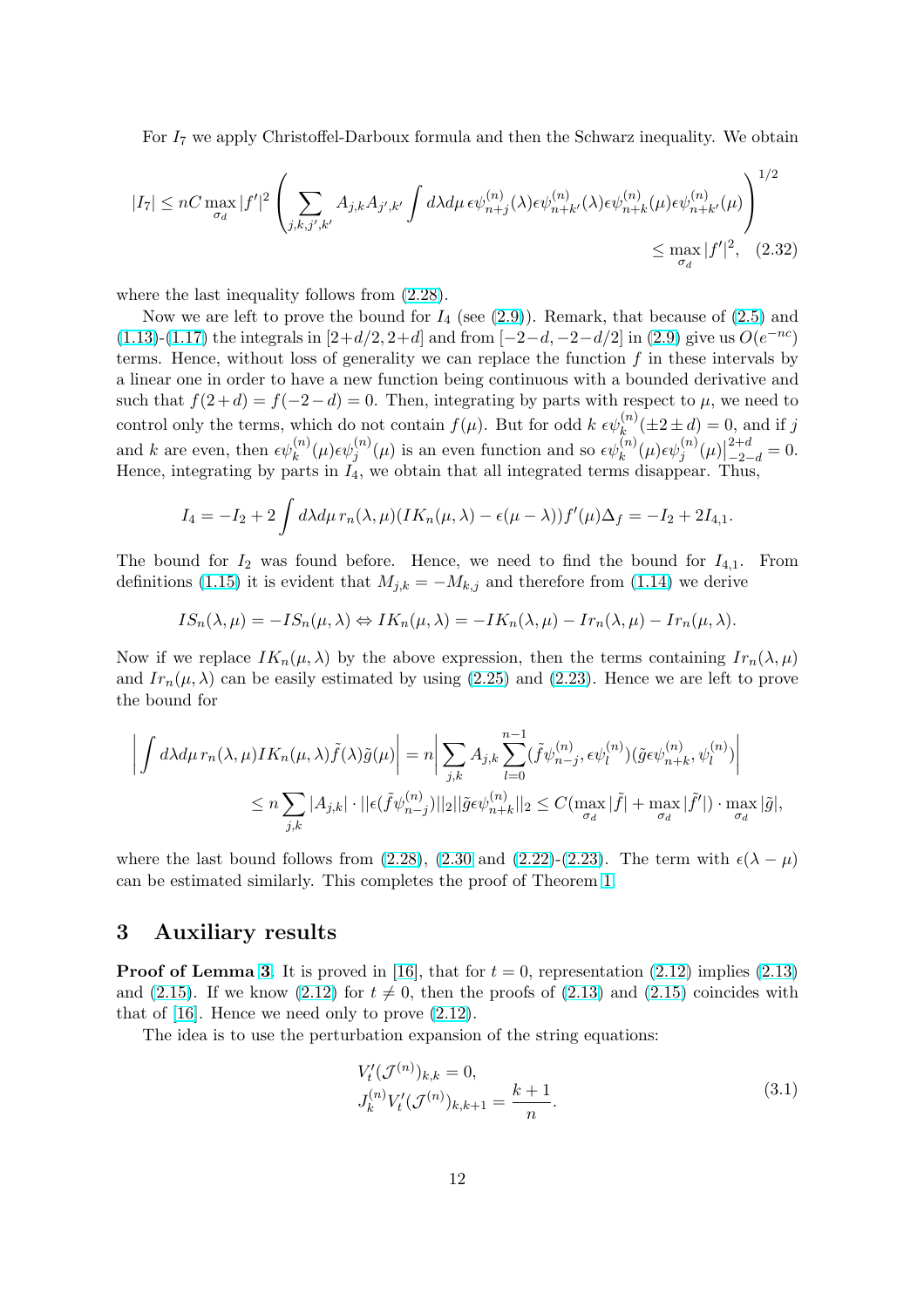<span id="page-11-0"></span>For  $I_7$  we apply Christoffel-Darboux formula and then the Schwarz inequality. We obtain

$$
|I_7| \le nC \max_{\sigma_d} |f'|^2 \left( \sum_{j,k,j',k'} A_{j,k} A_{j',k'} \int d\lambda d\mu \,\epsilon \psi_{n+j}^{(n)}(\lambda) \epsilon \psi_{n+k'}^{(n)}(\lambda) \epsilon \psi_{n+k}^{(n)}(\mu) \epsilon \psi_{n+k'}^{(n)}(\mu) \right)^{1/2} \le \max_{\sigma_d} |f'|^2, \quad (2.32)
$$

where the last inequality follows from (2.28).

Now we are left to prove the bound for  $I_4$  (see (2.9)). Remark, that because of (2.5) and (1.13)-(1.17) the integrals in  $[2+d/2, 2+d]$  and from  $[-2-d, -2-d/2]$  in (2.9) give us  $O(e^{-nc})$ terms. Hence, without loss of generality we can replace the function  $f$  in these intervals by a linear one in order to have a new fun[ction](#page-9-0) being continuous with a bounded derivative and such that  $f(2+d) = f(-2-d) = 0$ . Then, integrat[ing b](#page-6-0)y parts with respect to  $\mu$ , w[e ne](#page-5-0)ed to [contr](#page-2-0)ol [only](#page-2-0) the terms, which do not contain  $f(\mu)$ . But for odd  $k \epsilon \psi_k^{(n)}(\pm 2 \pm d) = 0$  $k \epsilon \psi_k^{(n)}(\pm 2 \pm d) = 0$  $k \epsilon \psi_k^{(n)}(\pm 2 \pm d) = 0$ , and if j and k are even, then  $\epsilon \psi_k^{(n)}(\mu) \epsilon \psi_j^{(n)}(\mu)$  is an even function and so  $\epsilon \psi_k^{(n)}(\mu) \epsilon \psi_j^{(n)}(\mu)$  $\frac{0, \alpha}{1^{2+d}}$  $_{-2-d}^{z+a} = 0.$ Hence, integrating by parts in  $I_4$ , we obtain that all integrated terms disappear. Thus,

$$
I_4 = -I_2 + 2 \int d\lambda d\mu \, r_n(\lambda, \mu) (IK_n(\mu, \lambda) - \epsilon(\mu - \lambda)) f'(\mu) \Delta_f = -I_2 + 2I_{4,1}.
$$

The bound for  $I_2$  was found before. Hence, we need to find the bound for  $I_{4,1}$ . From definitions (1.15) it is evident that  $M_{j,k} = -M_{k,j}$  and therefore from (1.14) we derive

$$
IS_n(\lambda, \mu) = -IS_n(\mu, \lambda) \Leftrightarrow IK_n(\mu, \lambda) = -IK_n(\lambda, \mu) - Ir_n(\lambda, \mu) - Ir_n(\mu, \lambda).
$$

Now if we [replac](#page-2-0)e  $IK_n(\mu, \lambda)$  by the above expression, then the term[s con](#page-2-0)taining  $Ir_n(\lambda, \mu)$ and  $Ir_n(\mu, \lambda)$  can be easily estimated by using (2.25) and (2.23). Hence we are left to prove the bound for

$$
\left| \int d\lambda d\mu \, r_n(\lambda,\mu) I K_n(\mu,\lambda) \tilde{f}(\lambda) \tilde{g}(\mu) \right| = n \left| \sum_{j,k} A_{j,k} \sum_{l=0}^{n-1} (\tilde{f} \psi_{n-j}^{(n)}, \epsilon \psi_l^{(n)}) (\tilde{g} \epsilon \psi_{n+k}^{(n)}, \psi_l^{(n)}) \right|
$$
  

$$
\leq n \sum_{j,k} |A_{j,k}| \cdot ||\epsilon(\tilde{f} \psi_{n-j}^{(n)})||_2 ||\tilde{g} \epsilon \psi_{n+k}^{(n)}||_2 \leq C (\max_{\sigma_d} |\tilde{f}| + \max_{\sigma_d} |\tilde{f}'|) \cdot \max_{\sigma_d} |\tilde{g}|,
$$

where the last bound follows from (2.28), (2.30 and (2.22)-(2.23). The term with  $\epsilon(\lambda - \mu)$ can be estimated similarly. This completes the proof of Theorem 1.

## 3 Auxiliary results

**Proof of Lemma 3.** It is proved in [16], that for  $t = 0$ , represen[ta](#page-3-0)tion (2.12) implies (2.13) and (2.15). If we know (2.12) for  $t \neq 0$ , then the proofs of (2.13) and (2.15) coincides with that of [16]. Hence we need only to prove (2.12).

The idea is to [use](#page-6-0) the perturbatio[n ex](#page-18-0)pansion of the string equation[s:](#page-6-0)

$$
V'_t(\mathcal{J}^{(n)})_{k,k} = 0,
$$
  
\n
$$
J_k^{(n)} V'_t(\mathcal{J}^{(n)})_{k,k+1} = \frac{k+1}{n}.
$$
\n(3.1)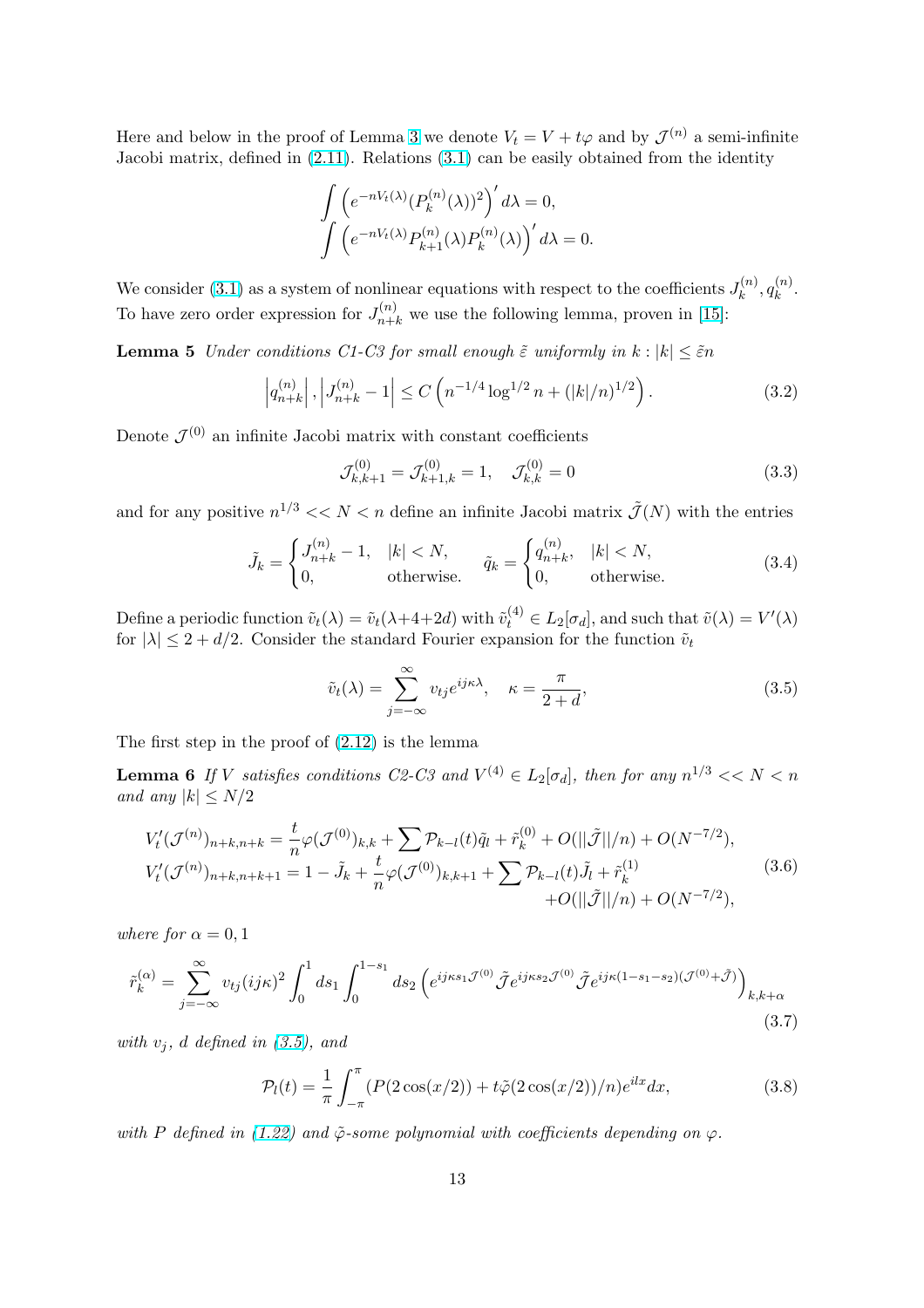<span id="page-12-0"></span>Here and below in the proof of Lemma 3 we denote  $V_t = V + t\varphi$  and by  $\mathcal{J}^{(n)}$  a semi-infinite Jacobi matrix, defined in (2.11). Relations (3.1) can be easily obtained from the identity

$$
\int \left( e^{-nV_t(\lambda)} (P_k^{(n)}(\lambda))^2 \right)' d\lambda = 0,
$$
  

$$
\int \left( e^{-nV_t(\lambda)} P_{k+1}^{(n)}(\lambda) P_k^{(n)}(\lambda) \right)' d\lambda = 0.
$$

We consider (3.1) as a system of nonlinear equations with respect to the coefficients  $J_k^{(n)}$  $\binom{n}{k}, q_k^{(n)}$  $k^{(n)}$ . To have zero order expression for  $J_{n+k}^{(n)}$  we use the following lemma, proven in [15]:

**Lemma 5** [Unde](#page-11-0)r conditions C1-C3 for small enough  $\tilde{\varepsilon}$  uniformly in  $k : |k| \leq \tilde{\varepsilon}n$ 

$$
\left| q_{n+k}^{(n)} \right|, \left| J_{n+k}^{(n)} - 1 \right| \le C \left( n^{-1/4} \log^{1/2} n + (|k|/n)^{1/2} \right). \tag{3.2}
$$

Denote  $\mathcal{J}^{(0)}$  an infinite Jacobi matrix with constant coefficients

$$
\mathcal{J}_{k,k+1}^{(0)} = \mathcal{J}_{k+1,k}^{(0)} = 1, \quad \mathcal{J}_{k,k}^{(0)} = 0 \tag{3.3}
$$

and for any positive  $n^{1/3} << N < n$  define an infinite Jacobi matrix  $\tilde{\mathcal{J}}(N)$  with the entries

$$
\tilde{J}_k = \begin{cases}\nJ_{n+k}^{(n)} - 1, & |k| < N, \\
0, & \text{otherwise.} \n\end{cases} \n\tilde{q}_k = \begin{cases}\nq_{n+k}^{(n)}, & |k| < N, \\
0, & \text{otherwise.}\n\end{cases} \n\tag{3.4}
$$

Define a periodic function  $\tilde{v}_t(\lambda) = \tilde{v}_t(\lambda + 4 + 2d)$  with  $\tilde{v}_t^{(4)} \in L_2[\sigma_d]$ , and such that  $\tilde{v}(\lambda) = V'(\lambda)$ for  $|\lambda| \leq 2 + d/2$ . Consider the standard Fourier expansion for the function  $\tilde{v}_t$ 

$$
\tilde{v}_t(\lambda) = \sum_{j=-\infty}^{\infty} v_{tj} e^{ij\kappa\lambda}, \quad \kappa = \frac{\pi}{2+d},
$$
\n(3.5)

The first step in the proof of (2.12) is the lemma

**Lemma 6** If V satisfies conditions C2-C3 and  $V^{(4)} \in L_2[\sigma_d]$ , then for any  $n^{1/3} << N < n$ and any  $|k| \leq N/2$ 

$$
V'_{t}(\mathcal{J}^{(n)})_{n+k,n+k} = \frac{t}{n} \varphi(\mathcal{J}^{(0)})_{k,k} + \sum \mathcal{P}_{k-l}(t)\tilde{q}_{l} + \tilde{r}_{k}^{(0)} + O(||\tilde{\mathcal{J}}||/n) + O(N^{-7/2}),
$$
  
\n
$$
V'_{t}(\mathcal{J}^{(n)})_{n+k,n+k+1} = 1 - \tilde{J}_{k} + \frac{t}{n} \varphi(\mathcal{J}^{(0)})_{k,k+1} + \sum \mathcal{P}_{k-l}(t)\tilde{J}_{l} + \tilde{r}_{k}^{(1)} + O(||\tilde{\mathcal{J}}||/n) + O(N^{-7/2}),
$$
\n(3.6)

where for  $\alpha = 0, 1$ 

$$
\tilde{r}_{k}^{(\alpha)} = \sum_{j=-\infty}^{\infty} v_{tj}(i j \kappa)^{2} \int_{0}^{1} ds_{1} \int_{0}^{1-s_{1}} ds_{2} \left( e^{i j \kappa s_{1} \mathcal{J}^{(0)}} \tilde{\mathcal{J}} e^{i j \kappa s_{2} \mathcal{J}^{(0)}} \tilde{\mathcal{J}} e^{i j \kappa (1-s_{1}-s_{2})(\mathcal{J}^{(0)}+\tilde{\mathcal{J}})} \right)_{k,k+\alpha} (3.7)
$$

with  $v_i$ , d defined in  $(3.5)$ , and

$$
\mathcal{P}_l(t) = \frac{1}{\pi} \int_{-\pi}^{\pi} (P(2\cos(x/2)) + t\tilde{\varphi}(2\cos(x/2))/n) e^{ilx} dx,
$$
\n(3.8)

with P defined in (1.22) and  $\tilde{\varphi}$ -some polynomial with coefficients depending on  $\varphi$ .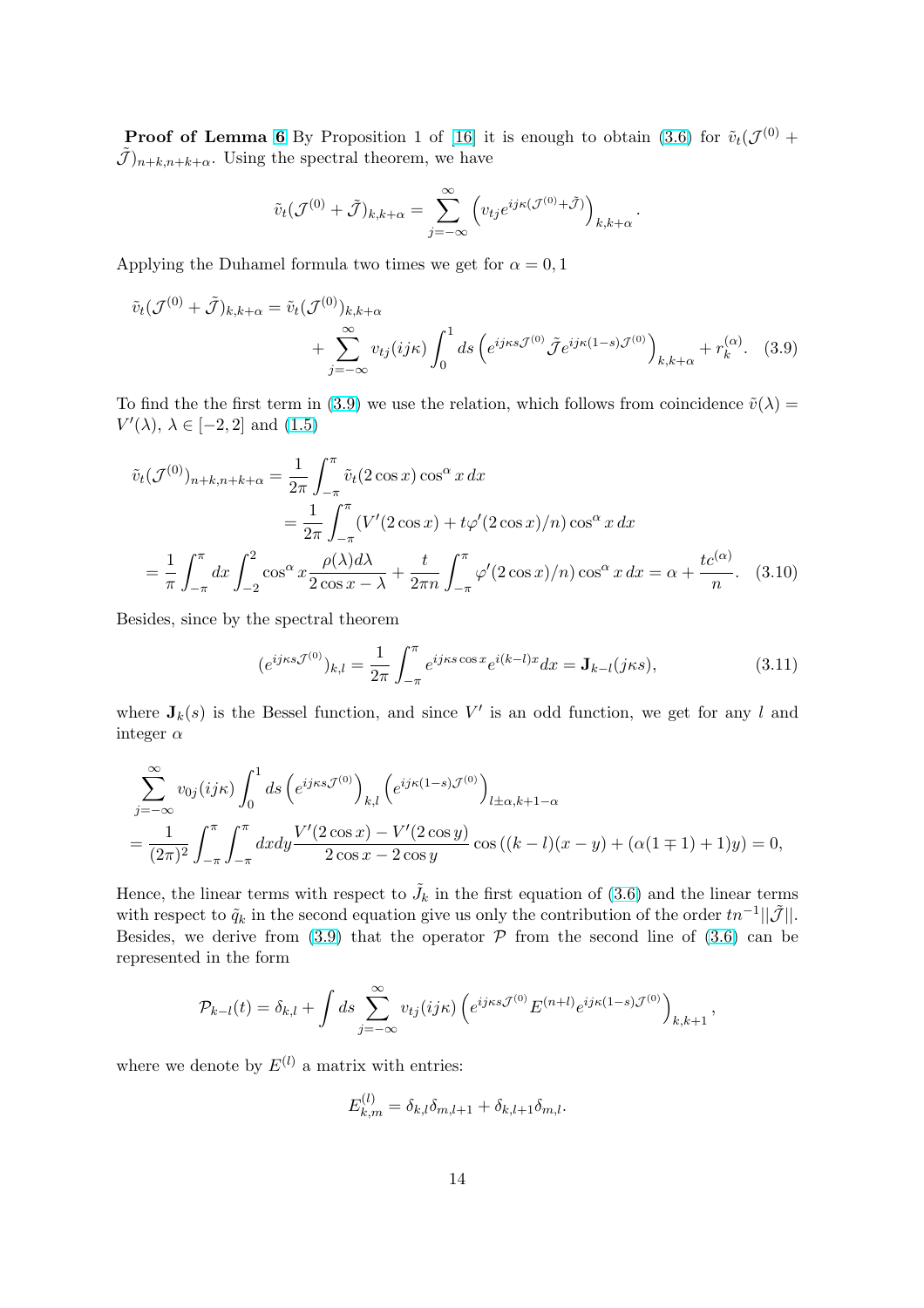<span id="page-13-0"></span>**Proof of Lemma 6** By Proposition 1 of [16] it is enough to obtain (3.6) for  $\tilde{v}_t(\mathcal{J}^{(0)} +$  $(\tilde{\mathcal{J}})_{n+k,n+k+\alpha}$ . Using the spectral theorem, we have

$$
\tilde{v}_t(\mathcal{J}^{(0)} + \tilde{\mathcal{J}})_{k,k+\alpha} = \sum_{j=-\infty}^{\infty} \left( v_{tj} e^{ij\kappa(\mathcal{J}^{(0)} + \tilde{\mathcal{J}})} \right)_{k,k+\alpha}.
$$

Applying the Duhamel formula two times we get for  $\alpha = 0, 1$ 

$$
\tilde{v}_t(\mathcal{J}^{(0)} + \tilde{\mathcal{J}})_{k,k+\alpha} = \tilde{v}_t(\mathcal{J}^{(0)})_{k,k+\alpha} \n+ \sum_{j=-\infty}^{\infty} v_{tj}(ijk) \int_0^1 ds \left( e^{ij\kappa s \mathcal{J}^{(0)}} \tilde{\mathcal{J}} e^{ij\kappa (1-s) \mathcal{J}^{(0)}} \right)_{k,k+\alpha} + r_k^{(\alpha)}.
$$
\n(3.9)

To find the the first term in (3.9) we use the relation, which follows from coincidence  $\tilde{v}(\lambda)$  =  $V'(\lambda)$ ,  $\lambda \in [-2, 2]$  and  $(1.5)$ 

$$
\tilde{v}_t(\mathcal{J}^{(0)})_{n+k,n+k+\alpha} = \frac{1}{2\pi} \int_{-\pi}^{\pi} \tilde{v}_t(2\cos x) \cos^\alpha x \, dx
$$
  
\n
$$
= \frac{1}{2\pi} \int_{-\pi}^{\pi} (V'(2\cos x) + t\varphi'(2\cos x)/n) \cos^\alpha x \, dx
$$
  
\n
$$
= \frac{1}{\pi} \int_{-\pi}^{\pi} dx \int_{-2}^2 \cos^\alpha x \frac{\rho(\lambda)d\lambda}{2\cos x - \lambda} + \frac{t}{2\pi n} \int_{-\pi}^{\pi} \varphi'(2\cos x)/n) \cos^\alpha x \, dx = \alpha + \frac{tc^{(\alpha)}}{n}.
$$
 (3.10)

Besides, since by the spectral theorem

$$
(e^{ij\kappa s \mathcal{J}^{(0)}})_{k,l} = \frac{1}{2\pi} \int_{-\pi}^{\pi} e^{ij\kappa s \cos x} e^{i(k-l)x} dx = \mathbf{J}_{k-l}(j\kappa s), \tag{3.11}
$$

where  $J_k(s)$  is the Bessel function, and since V' is an odd function, we get for any l and integer  $\alpha$ 

$$
\sum_{j=-\infty}^{\infty} v_{0j}(ijk) \int_0^1 ds \left(e^{ij\kappa s} \mathcal{J}^{(0)}\right)_{k,l} \left(e^{ij\kappa (1-s)\mathcal{J}^{(0)}}\right)_{l\pm\alpha,k+1-\alpha} \n= \frac{1}{(2\pi)^2} \int_{-\pi}^{\pi} \int_{-\pi}^{\pi} dx dy \frac{V'(2\cos x) - V'(2\cos y)}{2\cos x - 2\cos y} \cos\left((k-l)(x-y) + (\alpha(1 \mp 1) + 1)y\right) = 0,
$$

Hence, the linear terms with respect to  $\tilde{J}_k$  in the first equation of (3.6) and the linear terms with respect to  $\tilde{q}_k$  in the second equation give us only the contribution of the order  $tn^{-1}||\tilde{\mathcal{J}}||$ . Besides, we derive from  $(3.9)$  that the operator  $\mathcal P$  from the second line of  $(3.6)$  can be represented in the form

$$
\mathcal{P}_{k-l}(t) = \delta_{k,l} + \int ds \sum_{j=-\infty}^{\infty} v_{tj}(i j \kappa) \left( e^{i j \kappa s \mathcal{J}^{(0)}} E^{(n+l)} e^{i j \kappa (1-s) \mathcal{J}^{(0)}} \right)_{k,k+1},
$$

where we denote by  $E^{(l)}$  a matrix with entries:

$$
E_{k,m}^{(l)} = \delta_{k,l}\delta_{m,l+1} + \delta_{k,l+1}\delta_{m,l}.
$$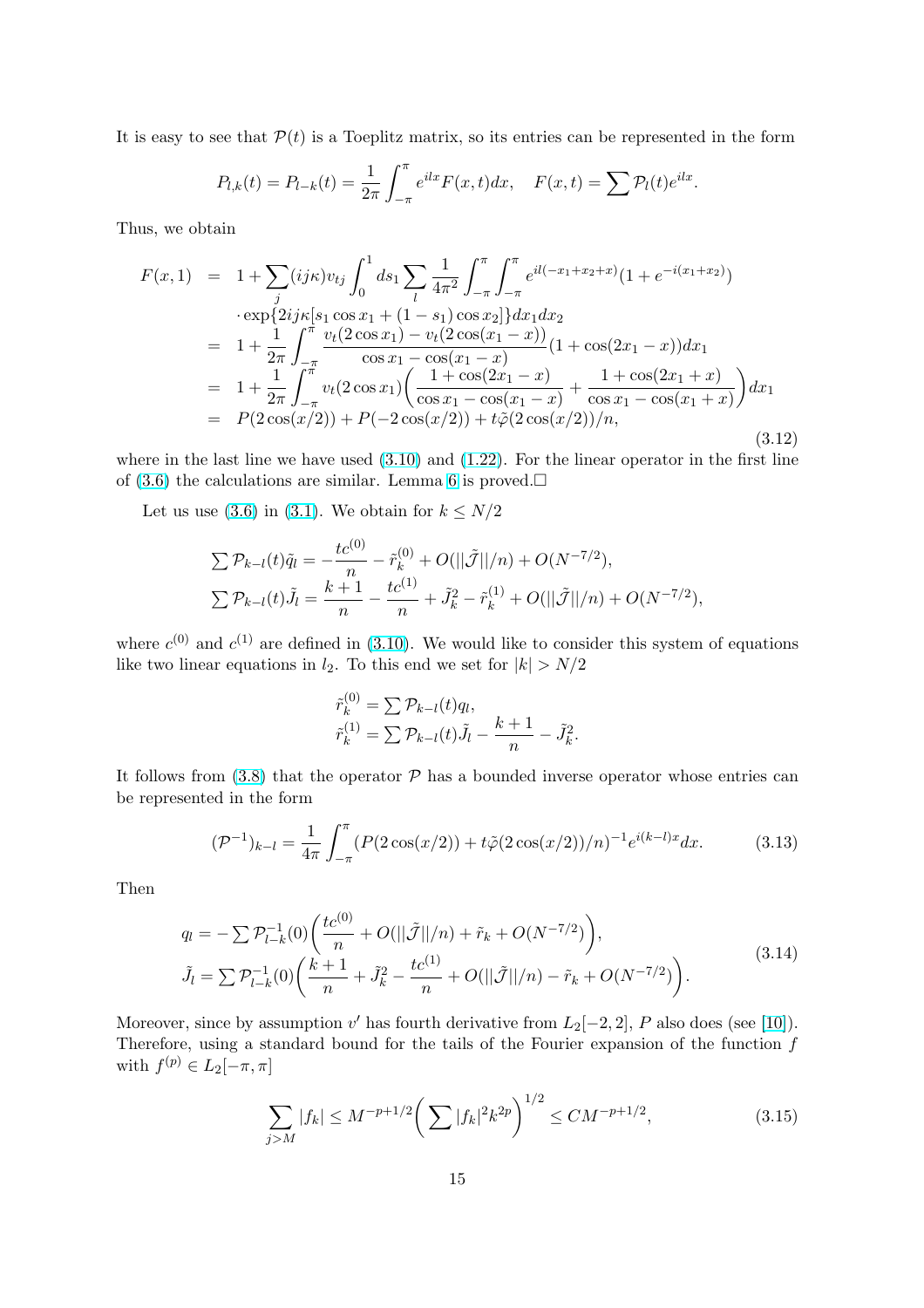<span id="page-14-0"></span>It is easy to see that  $P(t)$  is a Toeplitz matrix, so its entries can be represented in the form

$$
P_{l,k}(t) = P_{l-k}(t) = \frac{1}{2\pi} \int_{-\pi}^{\pi} e^{ilx} F(x,t) dx, \quad F(x,t) = \sum P_l(t) e^{ilx}.
$$

Thus, we obtain

$$
F(x,1) = 1 + \sum_{j} (ij\kappa)v_{tj} \int_{0}^{1} ds_{1} \sum_{l} \frac{1}{4\pi^{2}} \int_{-\pi}^{\pi} \int_{-\pi}^{\pi} e^{il(-x_{1}+x_{2}+x)} (1 + e^{-i(x_{1}+x_{2})})
$$
  
\n
$$
\cdot \exp\{2ij\kappa[s_{1}\cos x_{1} + (1-s_{1})\cos x_{2}]\} dx_{1} dx_{2}
$$
  
\n
$$
= 1 + \frac{1}{2\pi} \int_{-\pi}^{\pi} \frac{v_{t}(2\cos x_{1}) - v_{t}(2\cos(x_{1}-x))}{\cos x_{1} - \cos(x_{1}-x)} (1 + \cos(2x_{1}-x)) dx_{1}
$$
  
\n
$$
= 1 + \frac{1}{2\pi} \int_{-\pi}^{\pi} v_{t}(2\cos x_{1}) \left(\frac{1 + \cos(2x_{1}-x)}{\cos x_{1} - \cos(x_{1}-x)} + \frac{1 + \cos(2x_{1}+x)}{\cos x_{1} - \cos(x_{1}+x)}\right) dx_{1}
$$
  
\n
$$
= P(2\cos(x/2)) + P(-2\cos(x/2)) + t\tilde{\varphi}(2\cos(x/2))/n,
$$
  
\n(3.12)

where in the last line we have used  $(3.10)$  and  $(1.22)$ . For the linear operator in the first line of  $(3.6)$  the calculations are similar. Lemma 6 is proved.

Let us use (3.6) in (3.1). We obtain for  $k \leq N/2$ 

 $\mathbb{R}^3$ 

$$
\sum \mathcal{P}_{k-l}(t)\tilde{q}_l = -\frac{tc^{(0)}}{n} - \tilde{r}_k^{(0)} + O(||\tilde{\mathcal{J}}||/n) + O(N^{-7/2}),
$$
  

$$
\sum \mathcal{P}_{k-l}(t)\tilde{J}_l = \frac{k+1}{n} - \frac{tc^{(1)}}{n} + \tilde{J}_k^2 - \tilde{r}_k^{(1)} + O(||\tilde{\mathcal{J}}||/n) + O(N^{-7/2}),
$$

where  $c^{(0)}$  and  $c^{(1)}$  are defined in (3.10). We would like to consider this system of equations like two linear equations in  $l_2$ . To this end we set for  $|k| > N/2$ 

$$
\tilde{r}_k^{(0)} = \sum \mathcal{P}_{k-l}(t) q_l,
$$
  
\n
$$
\tilde{r}_k^{(1)} = \sum \mathcal{P}_{k-l}(t) \tilde{J}_l - \frac{k+1}{n} - \tilde{J}_k^2.
$$

It follows from  $(3.8)$  that the operator  $P$  has a bounded inverse operator whose entries can be represented in the form

$$
(\mathcal{P}^{-1})_{k-l} = \frac{1}{4\pi} \int_{-\pi}^{\pi} (P(2\cos(x/2)) + t\tilde{\varphi}(2\cos(x/2))/n)^{-1} e^{i(k-l)x} dx.
$$
 (3.13)

Then

$$
q_l = -\sum \mathcal{P}_{l-k}^{-1}(0) \left( \frac{tc^{(0)}}{n} + O(||\tilde{\mathcal{J}}||/n) + \tilde{r}_k + O(N^{-7/2}) \right),
$$
  
\n
$$
\tilde{J}_l = \sum \mathcal{P}_{l-k}^{-1}(0) \left( \frac{k+1}{n} + \tilde{J}_k^2 - \frac{tc^{(1)}}{n} + O(||\tilde{\mathcal{J}}||/n) - \tilde{r}_k + O(N^{-7/2}) \right).
$$
\n(3.14)

Moreover, since by assumption v' has fourth derivative from  $L_2[-2,2]$ , P also does (see [10]). Therefore, using a standard bound for the tails of the Fourier expansion of the function  $f$ with  $f^{(p)} \in L_2[-\pi, \pi]$ 

$$
\sum_{j>M} |f_k| \le M^{-p+1/2} \left( \sum |f_k|^2 k^{2p} \right)^{1/2} \le CM^{-p+1/2},\tag{3.15}
$$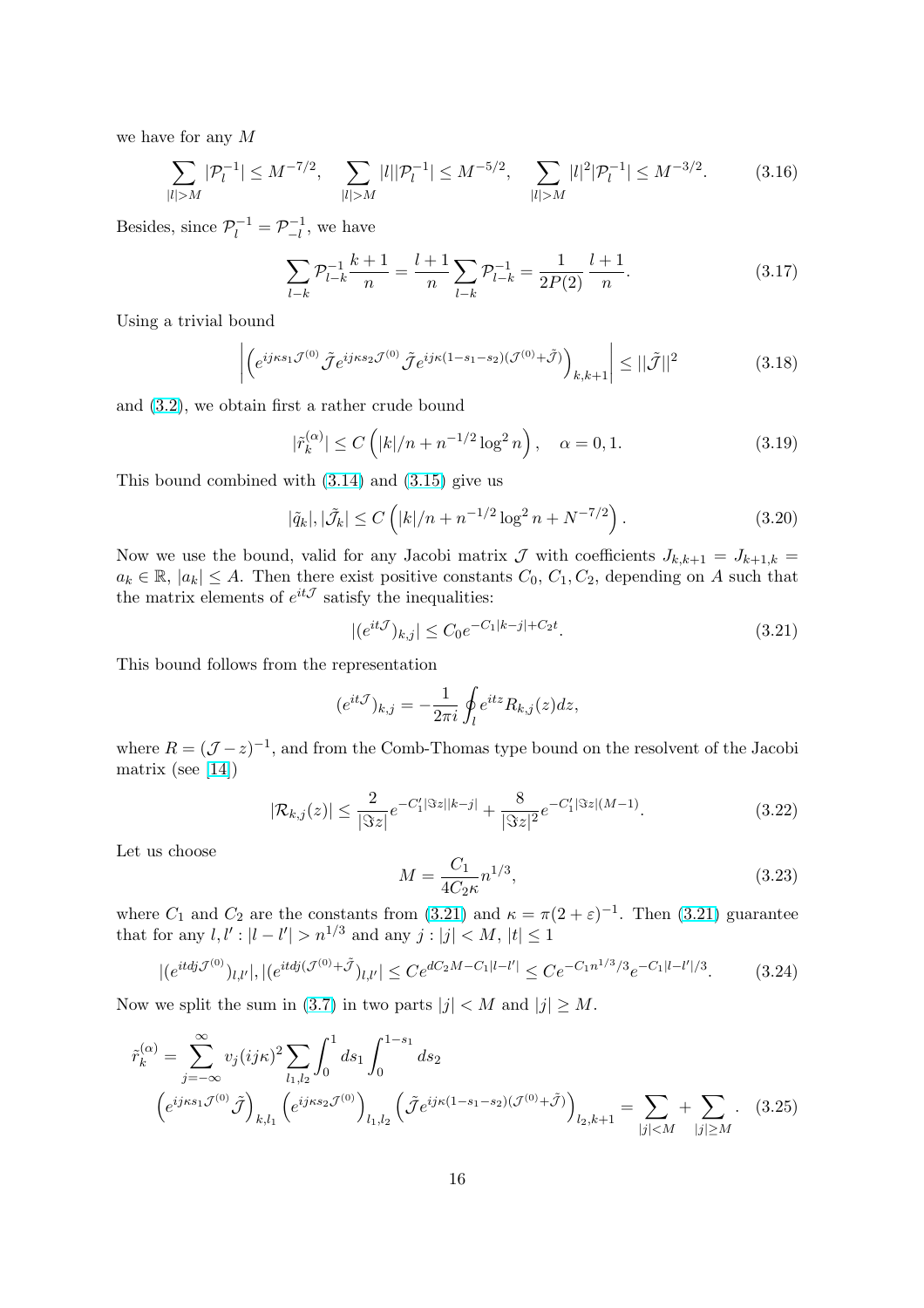<span id="page-15-0"></span>we have for any M

$$
\sum_{|l|>M} |\mathcal{P}_l^{-1}| \le M^{-7/2}, \quad \sum_{|l|>M} |l| |\mathcal{P}_l^{-1}| \le M^{-5/2}, \quad \sum_{|l|>M} |l|^2 |\mathcal{P}_l^{-1}| \le M^{-3/2}.
$$
 (3.16)

Besides, since  $\mathcal{P}_l^{-1} = \mathcal{P}_{-l}^{-1}$  $\vert_{-l}^{-1}$ , we have

$$
\sum_{l-k} \mathcal{P}_{l-k}^{-1} \frac{k+1}{n} = \frac{l+1}{n} \sum_{l-k} \mathcal{P}_{l-k}^{-1} = \frac{1}{2P(2)} \frac{l+1}{n}.
$$
 (3.17)

Using a trivial bound

$$
\left| \left( e^{i j \kappa s_1 \mathcal{J}^{(0)}} \tilde{\mathcal{J}} e^{i j \kappa s_2 \mathcal{J}^{(0)}} \tilde{\mathcal{J}} e^{i j \kappa (1 - s_1 - s_2) (\mathcal{J}^{(0)} + \tilde{\mathcal{J}})} \right)_{k,k+1} \right| \le ||\tilde{\mathcal{J}}||^2 \tag{3.18}
$$

and (3.2), we obtain first a rather crude bound

$$
|\tilde{r}_k^{(\alpha)}| \le C\left(|k|/n + n^{-1/2}\log^2 n\right), \quad \alpha = 0, 1. \tag{3.19}
$$

This [bou](#page-12-0)nd combined with (3.14) and (3.15) give us

$$
|\tilde{q}_k|, |\tilde{\mathcal{J}}_k| \le C\left(|k|/n + n^{-1/2}\log^2 n + N^{-7/2}\right). \tag{3.20}
$$

Now we use the bound, val[id for](#page-14-0) any [Jacob](#page-14-0)i matrix  $\mathcal J$  with coefficients  $J_{k,k+1} = J_{k+1,k} =$  $a_k \in \mathbb{R}, |a_k| \leq A$ . Then there exist positive constants  $C_0, C_1, C_2$ , depending on A such that the matrix elements of  $e^{it\mathcal{J}}$  satisfy the inequalities:

$$
|(e^{it\mathcal{J}})_{k,j}| \le C_0 e^{-C_1|k-j| + C_2 t}.\tag{3.21}
$$

This bound follows from the representation

$$
(e^{it\mathcal{J}})_{k,j} = -\frac{1}{2\pi i} \oint_l e^{itz} R_{k,j}(z) dz,
$$

where  $R = (\mathcal{J} - z)^{-1}$ , and from the Comb-Thomas type bound on the resolvent of the Jacobi matrix (see [14])

$$
|\mathcal{R}_{k,j}(z)| \le \frac{2}{|\Im z|} e^{-C_1' |\Im z||k-j|} + \frac{8}{|\Im z|^2} e^{-C_1' |\Im z|(M-1)}.
$$
\n(3.22)

Let us choo[se](#page-18-0)

$$
M = \frac{C_1}{4C_2\kappa} n^{1/3},\tag{3.23}
$$

where  $C_1$  and  $C_2$  are the constants from (3.21) and  $\kappa = \pi(2 + \varepsilon)^{-1}$ . Then (3.21) guarantee that for any  $l, l' : |l - l'| > n^{1/3}$  and any  $j : |j| < M, |t| \leq 1$ 

$$
|(e^{itdj\mathcal{J}^{(0)}})_{l,l'}|,|(e^{itdj(\mathcal{J}^{(0)}+\tilde{\mathcal{J}}})_{l,l'}| \leq Ce^{dC_2M-C_1|l-l'|} \leq Ce^{-C_1n^{1/3}/3}e^{-C_1|l-l'|/3}.\tag{3.24}
$$

Now we split the sum in (3.7) in two parts  $|j| < M$  and  $|j| \geq M$ .

$$
\tilde{r}_{k}^{(\alpha)} = \sum_{j=-\infty}^{\infty} v_{j}(i j \kappa)^{2} \sum_{l_{1},l_{2}} \int_{0}^{1} ds_{1} \int_{0}^{1-s_{1}} ds_{2} \n\left(e^{i j \kappa s_{1} \mathcal{J}^{(0)}} \tilde{\mathcal{J}}\right)_{k,l_{1}} \left(e^{i j \kappa s_{2} \mathcal{J}^{(0)}}\right)_{l_{1},l_{2}} \left(\tilde{\mathcal{J}} e^{i j \kappa (1-s_{1}-s_{2})(\mathcal{J}^{(0)}+\tilde{\mathcal{J}})}\right)_{l_{2},k+1} = \sum_{|j| \leq M} + \sum_{|j| \geq M} .
$$
\n(3.25)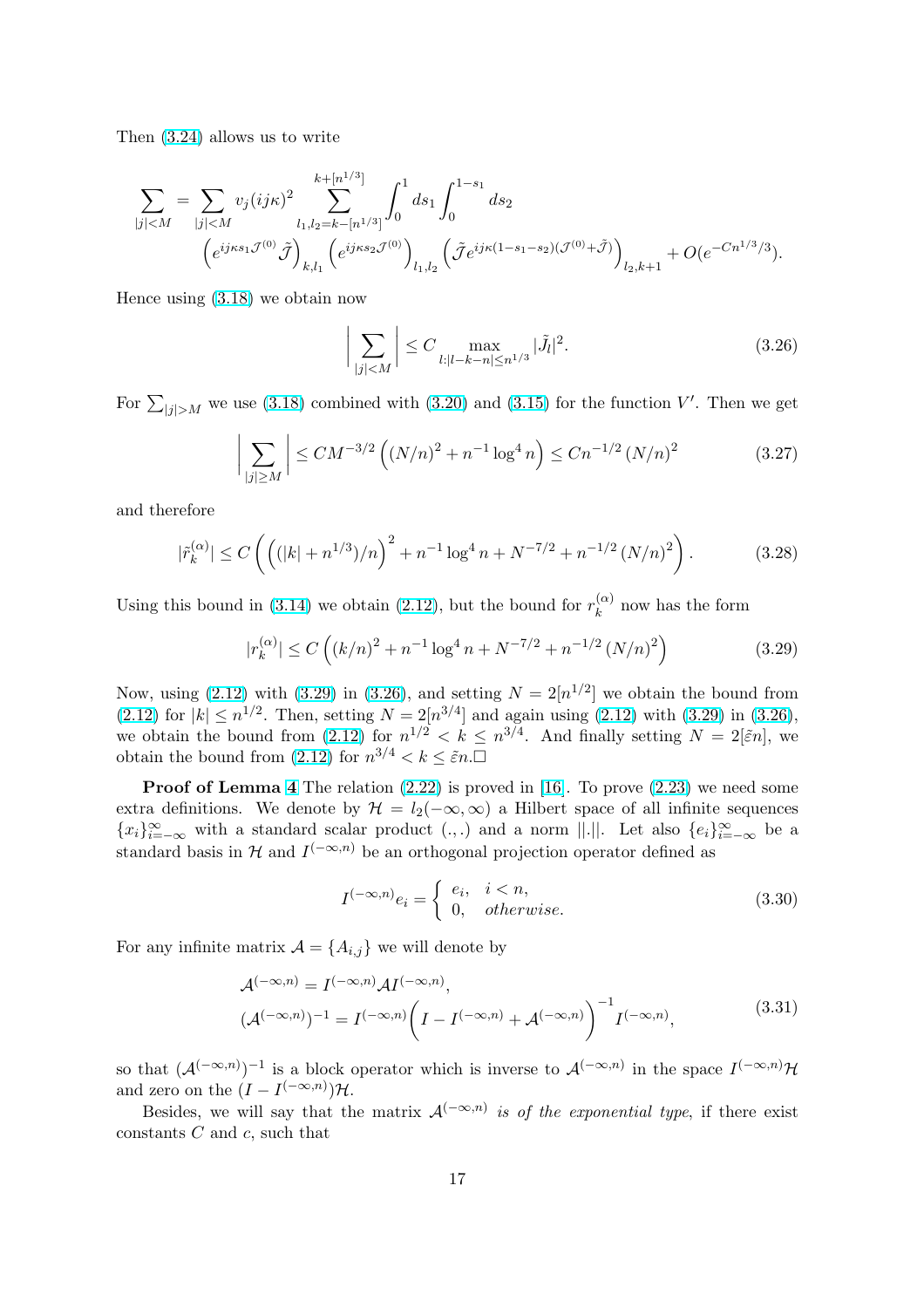Then (3.24) allows us to write

$$
\begin{split} \sum_{|j|
$$

Hence using (3.18) we obtain now

$$
\left| \sum_{|j| < M} \right| \le C \max_{l: |l - k - n| \le n^{1/3}} |\tilde{J}_l|^2. \tag{3.26}
$$

For  $\sum_{|j|>M}$  we use (3.18) combined with (3.20) and (3.15) for the function V'. Then we get

$$
\left| \sum_{|j| \ge M} \right| \le CM^{-3/2} \left( (N/n)^2 + n^{-1} \log^4 n \right) \le C n^{-1/2} \left( N/n \right)^2 \tag{3.27}
$$

and therefore

$$
|\tilde{r}_k^{(\alpha)}| \le C\left(\left((|k| + n^{1/3})/n\right)^2 + n^{-1}\log^4 n + N^{-7/2} + n^{-1/2}\left(N/n\right)^2\right). \tag{3.28}
$$

Using this bound in (3.14) we obtain (2.12), but the bound for  $r_k^{(\alpha)}$  $k^{(\alpha)}$  now has the form

$$
|r_k^{(\alpha)}| \le C\left( (k/n)^2 + n^{-1} \log^4 n + N^{-7/2} + n^{-1/2} (N/n)^2 \right) \tag{3.29}
$$

Now, using (2.12) wi[th \(3](#page-14-0).29) in (3.26[\), an](#page-6-0)d setting  $N = 2[n^{1/2}]$  we obtain the bound from (2.12) for  $|k| \le n^{1/2}$ . Then, setting  $N = 2[n^{3/4}]$  and again using (2.12) with (3.29) in (3.26), we obtain the bound from (2.12) for  $n^{1/2} < k \leq n^{3/4}$ . And finally setting  $N = 2\left[\tilde{\varepsilon}n\right]$ , we obtain the b[ound](#page-6-0) from  $(2.12)$  for  $n^{3/4} < k \leq \tilde{\varepsilon}n$ .

**[P](#page-6-0)roof of Lemma 4** The relation  $(2.22)$  is [prov](#page-6-0)ed in  $[16]$ . To prove  $(2.23)$  we need some extra definitions. We deno[te by](#page-6-0)  $\mathcal{H} = l_2(-\infty, \infty)$  a Hilbert space of all infinite sequences  ${x_i}_{i=-\infty}^{\infty}$  with a stand[ard s](#page-6-0)calar product  $(.,.)$  and a norm  $||.||.$  Let also  ${e_i}_{i=-\infty}^{\infty}$  be a sta[nd](#page-7-0)ard basis in H and  $I^{(-\infty,n)}$  be an [orth](#page-7-0)ogonal projec[tion](#page-18-0) operator d[efined](#page-8-0) as

$$
I^{(-\infty,n)}e_i = \begin{cases} e_i, & i < n, \\ 0, & otherwise. \end{cases}
$$
 (3.30)

For any infinite matrix  $\mathcal{A} = \{A_{i,j}\}\$  we will denote by

$$
\mathcal{A}^{(-\infty,n)} = I^{(-\infty,n)} \mathcal{A} I^{(-\infty,n)},
$$
  

$$
(\mathcal{A}^{(-\infty,n)})^{-1} = I^{(-\infty,n)} \left( I - I^{(-\infty,n)} + \mathcal{A}^{(-\infty,n)} \right)^{-1} I^{(-\infty,n)},
$$
\n(3.31)

so that  $(\mathcal{A}^{(-\infty,n)})^{-1}$  is a block operator which is inverse to  $\mathcal{A}^{(-\infty,n)}$  in the space  $I^{(-\infty,n)}\mathcal{H}$ and zero on the  $(I - I^{(-\infty,n)})\mathcal{H}$ .

Besides, we will say that the matrix  $\mathcal{A}^{(-\infty,n)}$  is of the exponential type, if there exist constants  $C$  and  $c$ , such that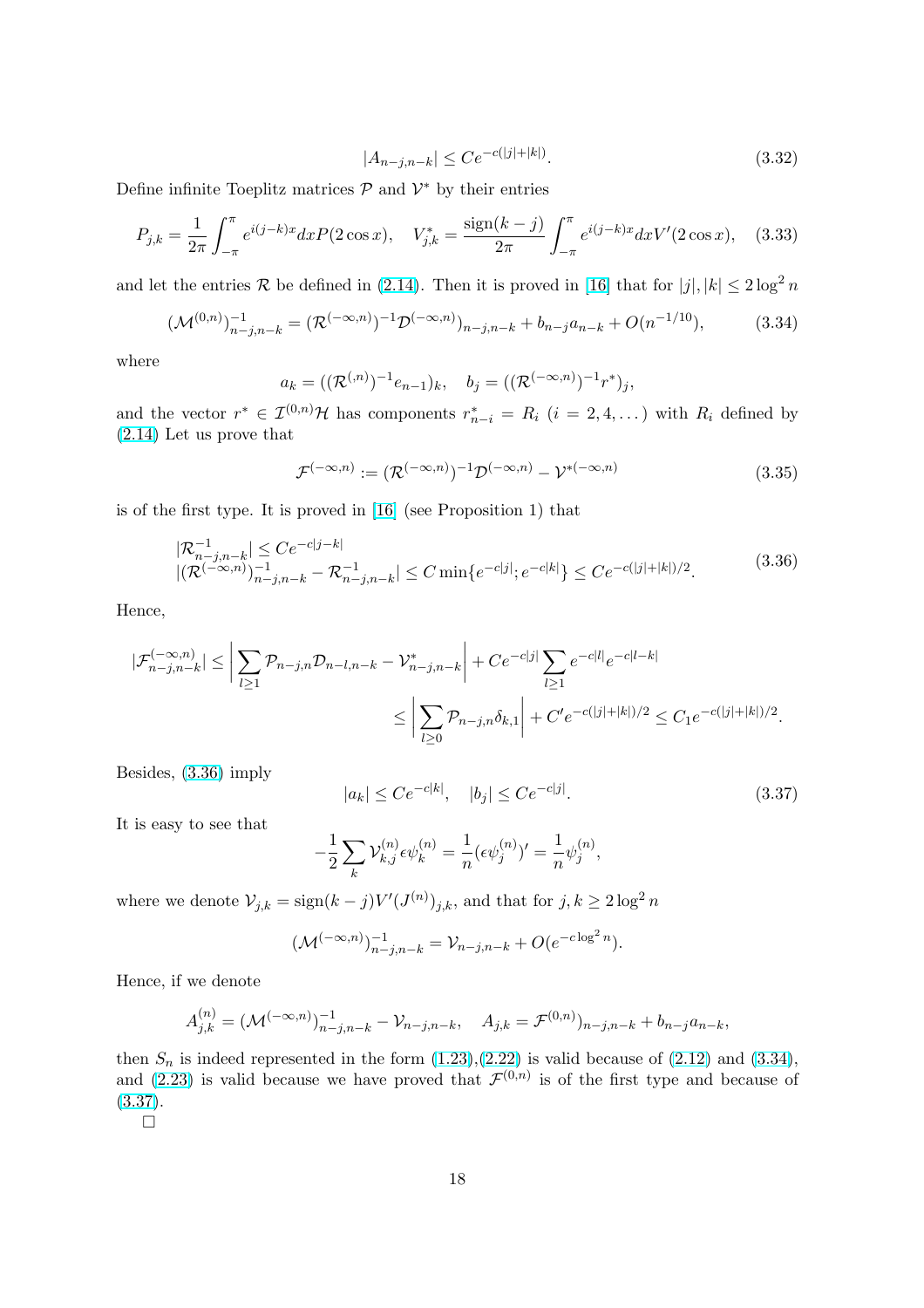$$
|A_{n-j,n-k}| \le Ce^{-c(|j|+|k|)}.\tag{3.32}
$$

Define infinite Toeplitz matrices  $\mathcal{P}$  and  $\mathcal{V}^*$  by their entries

$$
P_{j,k} = \frac{1}{2\pi} \int_{-\pi}^{\pi} e^{i(j-k)x} dx P(2\cos x), \quad V_{j,k}^{*} = \frac{\text{sign}(k-j)}{2\pi} \int_{-\pi}^{\pi} e^{i(j-k)x} dx V'(2\cos x), \quad (3.33)
$$

and let the entries R be defined in (2.14). Then it is proved in [16] that for  $|j|, |k| \leq 2 \log^2 n$ 

$$
(\mathcal{M}^{(0,n)})_{n-j,n-k}^{-1} = (\mathcal{R}^{(-\infty,n)})^{-1} \mathcal{D}^{(-\infty,n)}_{n-j,n-k} + b_{n-j} a_{n-k} + O(n^{-1/10}),
$$
(3.34)

where

$$
a_k = ((\mathcal{R}^{(n)})^{-1}e_{n-1})_k, \quad b_j = ((\mathcal{R}^{(-\infty,n)})^{-1}r^*)_j,
$$

and the vector  $r^* \in \mathcal{I}^{(0,n)}\mathcal{H}$  has components  $r^*_{n-i} = R_i$   $(i = 2, 4, ...)$  with  $R_i$  defined by (2.14) Let us prove that

$$
\mathcal{F}^{(-\infty,n)} := (\mathcal{R}^{(-\infty,n)})^{-1} \mathcal{D}^{(-\infty,n)} - \mathcal{V}^{*(-\infty,n)} \tag{3.35}
$$

i[s of t](#page-6-0)he first type. It is proved in [16] (see Proposition 1) that

$$
\begin{aligned} |\mathcal{R}_{n-j,n-k}^{-1}| &\leq C e^{-c|j-k|} \\ |\mathcal{R}^{(-\infty,n)}\rangle_{n-j,n-k}^{-1} - \mathcal{R}_{n-j,n-k}^{-1}| &\leq C \min\{e^{-c|j|}; e^{-c|k|}\} \leq C e^{-c(|j|+|k|)/2} .\end{aligned} \tag{3.36}
$$

Hence,

$$
|\mathcal{F}_{n-j,n-k}^{(-\infty,n)}| \leq \left| \sum_{l\geq 1} \mathcal{P}_{n-j,n} \mathcal{D}_{n-l,n-k} - \mathcal{V}_{n-j,n-k}^* \right| + Ce^{-c|j|} \sum_{l\geq 1} e^{-c|l|} e^{-c|l-k|}
$$
  

$$
\leq \left| \sum_{l\geq 0} \mathcal{P}_{n-j,n} \delta_{k,1} \right| + C'e^{-c(|j|+|k|)/2} \leq C_1 e^{-c(|j|+|k|)/2}.
$$

Besides, (3.36) imply

$$
|a_k| \le Ce^{-c|k|}, \quad |b_j| \le Ce^{-c|j|}.\tag{3.37}
$$

It is easy to see that

$$
-\frac{1}{2}\sum_{k}\mathcal{V}_{k,j}^{(n)}\epsilon\psi_k^{(n)} = \frac{1}{n}(\epsilon\psi_j^{(n)})' = \frac{1}{n}\psi_j^{(n)},
$$

where we denote  $\mathcal{V}_{j,k} = \text{sign}(k-j)V'(J^{(n)})_{j,k}$ , and that for  $j, k \geq 2\log^2 n$ 

$$
(\mathcal{M}^{(-\infty,n)})_{n-j,n-k}^{-1} = \mathcal{V}_{n-j,n-k} + O(e^{-c \log^2 n}).
$$

Hence, if we denote

$$
A_{j,k}^{(n)} = (\mathcal{M}^{(-\infty,n)})_{n-j,n-k}^{-1} - \mathcal{V}_{n-j,n-k}, \quad A_{j,k} = \mathcal{F}^{(0,n)})_{n-j,n-k} + b_{n-j}a_{n-k},
$$

then  $S_n$  is indeed represented in the form  $(1.23),(2.22)$  is valid because of  $(2.12)$  and  $(3.34)$ , and (2.23) is valid because we have proved that  $\mathcal{F}^{(0,n)}$  is of the first type and because of (3.37).

 $\Box$